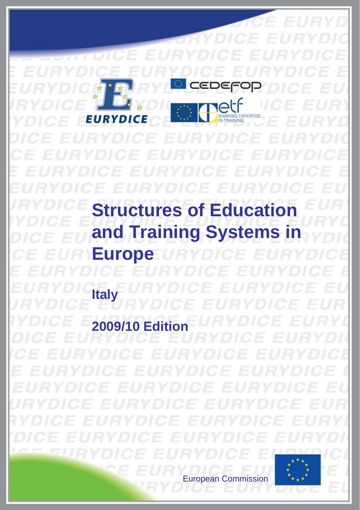SHARING EXP EURY E **Structures of Education and Training Systems in Europe Italy 2009/10 Edition**

European Commission European Commission

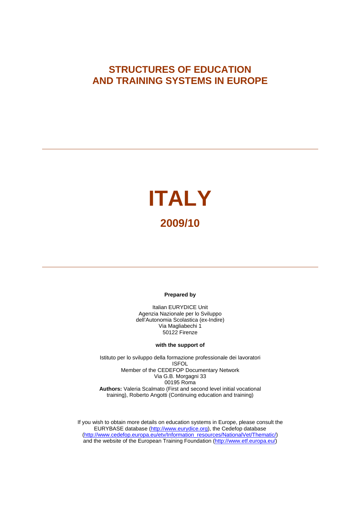# **STRUCTURES OF EDUCATION AND TRAINING SYSTEMS IN EUROPE**

# **ITALY 2009/10**

#### **Prepared by**

Italian EURYDICE Unit Agenzia Nazionale per lo Sviluppo dell'Autonomia Scolastica (ex-Indire) Via Magliabechi 1 50122 Firenze

#### **with the support of**

Istituto per lo sviluppo della formazione professionale dei lavoratori ISFOL Member of the CEDEFOP Documentary Network Via G.B. Morgagni 33 00195 Roma **Authors:** Valeria Scalmato (First and second level initial vocational training), Roberto Angotti (Continuing education and training)

If you wish to obtain more details on education systems in Europe, please consult the EURYBASE database [\(http://www.eurydice.org](http://www.eurydice.org/)), the Cedefop database [\(http://www.cedefop.europa.eu/etv/Information\\_resources/NationalVet/Thematic/](http://www.cedefop.europa.eu/etv/Information_resources/NationalVet/Thematic/)) and the website of the European Training Foundation [\(http://www.etf.europa.eu/](http://www.etf.europa.eu/))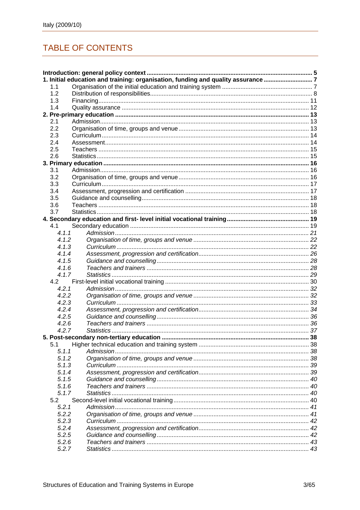# **TABLE OF CONTENTS**

|       | 1. Initial education and training: organisation, funding and quality assurance 7 |  |
|-------|----------------------------------------------------------------------------------|--|
| 1.1   |                                                                                  |  |
| 1.2   |                                                                                  |  |
| 1.3   |                                                                                  |  |
| 1.4   |                                                                                  |  |
|       |                                                                                  |  |
| 2.1   |                                                                                  |  |
| 2.2   |                                                                                  |  |
| 2.3   |                                                                                  |  |
| 2.4   |                                                                                  |  |
| 2.5   |                                                                                  |  |
| 2.6   |                                                                                  |  |
|       |                                                                                  |  |
| 3.1   |                                                                                  |  |
| 3.2   |                                                                                  |  |
| 3.3   |                                                                                  |  |
| 3.4   |                                                                                  |  |
| 3.5   |                                                                                  |  |
| 3.6   |                                                                                  |  |
| 3.7   |                                                                                  |  |
|       |                                                                                  |  |
| 4.1   |                                                                                  |  |
| 4.1.1 |                                                                                  |  |
| 4.1.2 |                                                                                  |  |
| 4.1.3 |                                                                                  |  |
| 4.1.4 |                                                                                  |  |
| 4.1.5 |                                                                                  |  |
| 4.1.6 |                                                                                  |  |
| 4.1.7 |                                                                                  |  |
| 4.2   |                                                                                  |  |
| 4.2.1 |                                                                                  |  |
| 4.2.2 |                                                                                  |  |
| 4.2.3 |                                                                                  |  |
| 4.2.4 |                                                                                  |  |
| 4.2.5 |                                                                                  |  |
| 4.2.6 |                                                                                  |  |
| 4.2.7 |                                                                                  |  |
|       |                                                                                  |  |
| 5.1   |                                                                                  |  |
| 5.1.1 |                                                                                  |  |
| 5.1.2 |                                                                                  |  |
| 5.1.3 |                                                                                  |  |
| 5.1.4 |                                                                                  |  |
| 5.1.5 |                                                                                  |  |
| 5.1.6 |                                                                                  |  |
| 5.1.7 |                                                                                  |  |
| 5.2   |                                                                                  |  |
| 5.2.1 |                                                                                  |  |
| 5.2.2 |                                                                                  |  |
| 5.2.3 |                                                                                  |  |
| 5.2.4 |                                                                                  |  |
| 5.2.5 |                                                                                  |  |
| 5.2.6 |                                                                                  |  |
| 5.2.7 |                                                                                  |  |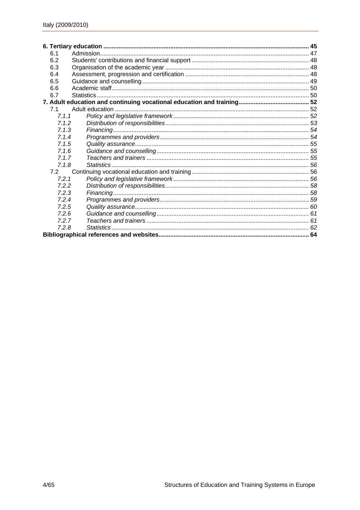| 6.1   |            |  |
|-------|------------|--|
| 6.2   |            |  |
| 6.3   |            |  |
| 6.4   |            |  |
| 6.5   |            |  |
| 6.6   |            |  |
| 6.7   |            |  |
|       |            |  |
| 7.1   |            |  |
| 7.1.1 |            |  |
| 7.1.2 |            |  |
| 7.1.3 |            |  |
| 7.1.4 |            |  |
| 7.1.5 |            |  |
| 7.16  |            |  |
| 7.1.7 |            |  |
| 7.1.8 | Statistics |  |
| 7.2   |            |  |
| 7.2.1 |            |  |
| 7.2.2 |            |  |
| 7.2.3 |            |  |
| 7.2.4 |            |  |
| 7.2.5 |            |  |
| 7.2.6 |            |  |
| 7.2.7 |            |  |
| 7.2.8 |            |  |
|       |            |  |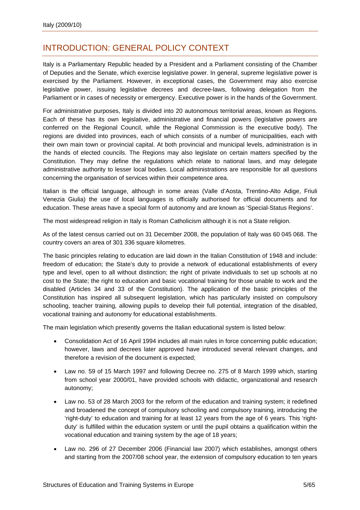# <span id="page-6-0"></span>INTRODUCTION: GENERAL POLICY CONTEXT

Italy is a Parliamentary Republic headed by a President and a Parliament consisting of the Chamber of Deputies and the Senate, which exercise legislative power. In general, supreme legislative power is exercised by the Parliament. However, in exceptional cases, the Government may also exercise legislative power, issuing legislative decrees and decree-laws, following delegation from the Parliament or in cases of necessity or emergency. Executive power is in the hands of the Government.

For administrative purposes, Italy is divided into 20 autonomous territorial areas, known as Regions. Each of these has its own legislative, administrative and financial powers (legislative powers are conferred on the Regional Council, while the Regional Commission is the executive body). The regions are divided into provinces, each of which consists of a number of municipalities, each with their own main town or provincial capital. At both provincial and municipal levels, administration is in the hands of elected councils. The Regions may also legislate on certain matters specified by the Constitution. They may define the regulations which relate to national laws, and may delegate administrative authority to lesser local bodies. Local administrations are responsible for all questions concerning the organisation of services within their competence area.

Italian is the official language, although in some areas (Valle d'Aosta, Trentino-Alto Adige, Friuli Venezia Giulia) the use of local languages is officially authorised for official documents and for education. These areas have a special form of autonomy and are known as 'Special-Status Regions'.

The most widespread religion in Italy is Roman Catholicism although it is not a State religion.

As of the latest census carried out on 31 December 2008, the population of Italy was 60 045 068. The country covers an area of 301 336 square kilometres.

The basic principles relating to education are laid down in the Italian Constitution of 1948 and include: freedom of education; the State's duty to provide a network of educational establishments of every type and level, open to all without distinction; the right of private individuals to set up schools at no cost to the State; the right to education and basic vocational training for those unable to work and the disabled (Articles 34 and 33 of the Constitution). The application of the basic principles of the Constitution has inspired all subsequent legislation, which has particularly insisted on compulsory schooling, teacher training, allowing pupils to develop their full potential, integration of the disabled, vocational training and autonomy for educational establishments.

The main legislation which presently governs the Italian educational system is listed below:

- Consolidation Act of 16 April 1994 includes all main rules in force concerning public education; however, laws and decrees later approved have introduced several relevant changes, and therefore a revision of the document is expected;
- Law no. 59 of 15 March 1997 and following Decree no. 275 of 8 March 1999 which, starting from school year 2000/01, have provided schools with didactic, organizational and research autonomy;
- Law no. 53 of 28 March 2003 for the reform of the education and training system; it redefined and broadened the concept of compulsory schooling and compulsory training, introducing the 'right-duty' to education and training for at least 12 years from the age of 6 years. This 'rightduty' is fulfilled within the education system or until the pupil obtains a qualification within the vocational education and training system by the age of 18 years;
- Law no. 296 of 27 December 2006 (Financial law 2007) which establishes, amongst others and starting from the 2007/08 school year, the extension of compulsory education to ten years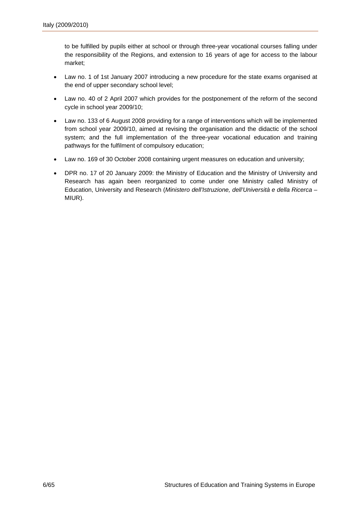to be fulfilled by pupils either at school or through three-year vocational courses falling under the responsibility of the Regions, and extension to 16 years of age for access to the labour market;

- Law no. 1 of 1st January 2007 introducing a new procedure for the state exams organised at the end of upper secondary school level;
- Law no. 40 of 2 April 2007 which provides for the postponement of the reform of the second cycle in school year 2009/10;
- Law no. 133 of 6 August 2008 providing for a range of interventions which will be implemented from school year 2009/10, aimed at revising the organisation and the didactic of the school system; and the full implementation of the three-year vocational education and training pathways for the fulfilment of compulsory education;
- Law no. 169 of 30 October 2008 containing urgent measures on education and university;
- DPR no. 17 of 20 January 2009: the Ministry of Education and the Ministry of University and Research has again been reorganized to come under one Ministry called Ministry of Education, University and Research (*Ministero dell'Istruzione, dell'Università e della Ricerca* – MIUR).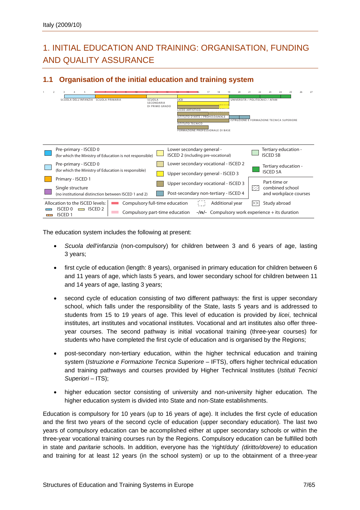# <span id="page-8-0"></span>1. INITIAL EDUCATION AND TRAINING: ORGANISATION, FUNDING AND QUALITY ASSURANCE

### **1.1 Organisation of the initial education and training system**



The education system includes the following at present:

- *Scuola dell'infanzia* (non-compulsory) for children between 3 and 6 years of age, lasting 3 years;
- first cycle of education (length: 8 years), organised in primary education for children between 6 and 11 years of age, which lasts 5 years, and lower secondary school for children between 11 and 14 years of age, lasting 3 years;
- second cycle of education consisting of two different pathways: the first is upper secondary school, which falls under the responsibility of the State, lasts 5 years and is addressed to students from 15 to 19 years of age. This level of education is provided by *licei*, technical institutes, art institutes and vocational institutes. Vocational and art institutes also offer threeyear courses. The second pathway is initial vocational training (three-year courses) for students who have completed the first cycle of education and is organised by the Regions;
- post-secondary non-tertiary education, within the higher technical education and training system (*Istruzione e Formazione Tecnica Superiore* – IFTS), offers higher technical education and training pathways and courses provided by Higher Technical Institutes (*Istituti Tecnici*  Superiori – ITS);
- higher education sector consisting of university and non-university higher education. The higher education system is divided into State and non-State establishments.

Education is compulsory for 10 years (up to 16 years of age). It includes the first cycle of education and the first two years of the second cycle of education (upper secondary education). The last two years of compulsory education can be accomplished either at upper secondary schools or within the three-year vocational training courses run by the Regions. Compulsory education can be fulfilled both in state and *paritarie* schools. In addition, everyone has the 'right/duty' *(diritto/dovere)* to education and training for at least 12 years (in the school system) or up to the obtainment of a three-year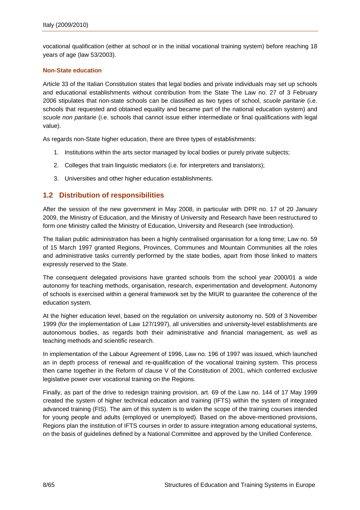<span id="page-9-0"></span>vocational qualification (either at school or in the initial vocational training system) before reaching 18 years of age (law 53/2003).

#### **Non-State education**

Article 33 of the Italian Constitution states that legal bodies and private individuals may set up schools and educational establishments without contribution from the State The Law no. 27 of 3 February 2006 stipulates that non-state schools can be classified as two types of school, *scuole paritarie* (i.e. schools that requested and obtained equality and became part of the national education system) and *scuole non paritarie* (i.e. schools that cannot issue either intermediate or final qualifications with legal value).

As regards non-State higher education, there are three types of establishments:

- 1. Institutions within the arts sector managed by local bodies or purely private subjects;
- 2. Colleges that train linguistic mediators (i.e. for interpreters and translators);
- 3. Universities and other higher education establishments.

### **1.2 Distribution of responsibilities**

After the session of the new government in May 2008, in particular with DPR no. 17 of 20 January 2009, the Ministry of Education, and the Ministry of University and Research have been restructured to form one Ministry called the Ministry of Education, University and Research (see Introduction).

The Italian public administration has been a highly centralised organisation for a long time; Law no. 59 of 15 March 1997 granted Regions, Provinces, Communes and Mountain Communities all the roles and administrative tasks currently performed by the state bodies, apart from those linked to matters expressly reserved to the State.

The consequent delegated provisions have granted schools from the school year 2000/01 a wide autonomy for teaching methods, organisation, research, experimentation and development. Autonomy of schools is exercised within a general framework set by the MIUR to guarantee the coherence of the education system.

At the higher education level, based on the regulation on university autonomy no. 509 of 3 November 1999 (for the implementation of Law 127/1997), all universities and university-level establishments are autonomous bodies, as regards both their administrative and financial management, as well as teaching methods and scientific research.

In implementation of the Labour Agreement of 1996, Law no. 196 of 1997 was issued, which launched an in depth process of renewal and re-qualification of the vocational training system. This process then came together in the Reform of clause V of the Constitution of 2001, which conferred exclusive legislative power over vocational training on the Regions.

Finally, as part of the drive to redesign training provision, art. 69 of the Law no. 144 of 17 May 1999 created the system of higher technical education and training (IFTS) within the system of integrated advanced training (FIS). The aim of this system is to widen the scope of the training courses intended for young people and adults (employed or unemployed). Based on the above-mentioned provisions, Regions plan the institution of IFTS courses in order to assure integration among educational systems, on the basis of guidelines defined by a National Committee and approved by the Unified Conference.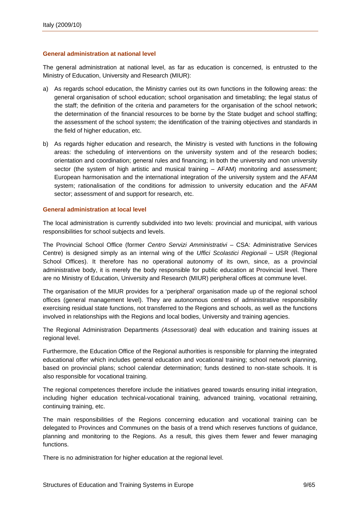#### **General administration at national level**

The general administration at national level, as far as education is concerned, is entrusted to the Ministry of Education, University and Research (MIUR):

- a) As regards school education, the Ministry carries out its own functions in the following areas: the general organisation of school education; school organisation and timetabling; the legal status of the staff; the definition of the criteria and parameters for the organisation of the school network; the determination of the financial resources to be borne by the State budget and school staffing; the assessment of the school system; the identification of the training objectives and standards in the field of higher education, etc.
- b) As regards higher education and research, the Ministry is vested with functions in the following areas: the scheduling of interventions on the university system and of the research bodies; orientation and coordination; general rules and financing; in both the university and non university sector (the system of high artistic and musical training – AFAM) monitoring and assessment; European harmonisation and the international integration of the university system and the AFAM system; rationalisation of the conditions for admission to university education and the AFAM sector; assessment of and support for research, etc.

#### **General administration at local level**

The local administration is currently subdivided into two levels: provincial and municipal, with various responsibilities for school subjects and levels.

The Provincial School Office (former *Centro Servizi Amministrativi* – CSA: Administrative Services Centre) is designed simply as an internal wing of the *Uffici Scolastici Regionali* – USR (Regional School Offices). It therefore has no operational autonomy of its own, since, as a provincial administrative body, it is merely the body responsible for public education at Provincial level. There are no Ministry of Education, University and Research (MIUR) peripheral offices at commune level.

The organisation of the MIUR provides for a 'peripheral' organisation made up of the regional school offices (general management level). They are autonomous centres of administrative responsibility exercising residual state functions, not transferred to the Regions and schools, as well as the functions involved in relationships with the Regions and local bodies, University and training agencies.

The Regional Administration Departments *(Assessorati)* deal with education and training issues at regional level.

Furthermore, the Education Office of the Regional authorities is responsible for planning the integrated educational offer which includes general education and vocational training; school network planning, based on provincial plans; school calendar determination; funds destined to non-state schools. It is also responsible for vocational training.

The regional competences therefore include the initiatives geared towards ensuring initial integration, including higher education technical-vocational training, advanced training, vocational retraining, continuing training, etc.

The main responsibilities of the Regions concerning education and vocational training can be delegated to Provinces and Communes on the basis of a trend which reserves functions of guidance, planning and monitoring to the Regions. As a result, this gives them fewer and fewer managing functions.

There is no administration for higher education at the regional level.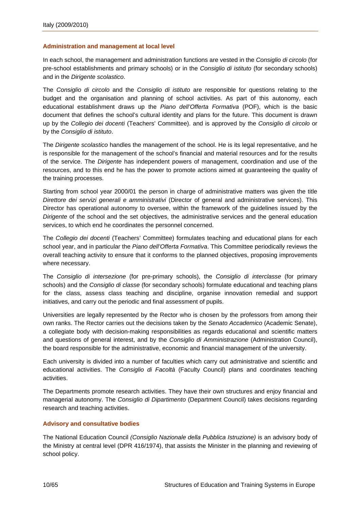#### **Administration and management at local level**

In each school, the management and administration functions are vested in the *Consiglio di circolo* (for pre-school establishments and primary schools) or in the *Consiglio di istituto* (for secondary schools) and in the *Dirigente scolastico*.

The *Consiglio di circolo* and the *Consiglio di istituto* are responsible for questions relating to the budget and the organisation and planning of school activities. As part of this autonomy, each educational establishment draws up the *Piano dell'Offerta Formativa* (POF), which is the basic document that defines the school's cultural identity and plans for the future. This document is drawn up by the *Collegio dei docenti* (Teachers' Committee). and is approved by the *Consiglio di circolo* or by the *Consiglio di istituto*.

The *Dirigente scolastico* handles the management of the school. He is its legal representative, and he is responsible for the management of the school's financial and material resources and for the results of the service. The *Dirigente* has independent powers of management, coordination and use of the resources, and to this end he has the power to promote actions aimed at quaranteeing the quality of the training processes.

Starting from school year 2000/01 the person in charge of administrative matters was given the title *Direttore dei servizi generali e amministrativi* (Director of general and administrative services). This Director has operational autonomy to oversee, within the framework of the guidelines issued by the *Dirigente* of the school and the set objectives, the administrative services and the general education services, to which end he coordinates the personnel concerned.

The *Collegio dei docenti* (Teachers' Committee) formulates teaching and educational plans for each school year, and in particular the *Piano dell'Offerta Formativa*. This Committee periodically reviews the overall teaching activity to ensure that it conforms to the planned objectives, proposing improvements where necessary.

The *Consiglio di intersezione* (for pre-primary schools), the *Consiglio di interclasse* (for primary schools) and the *Consiglio di classe* (for secondary schools) formulate educational and teaching plans for the class, assess class teaching and discipline, organise innovation remedial and support initiatives, and carry out the periodic and final assessment of pupils.

Universities are legally represented by the Rector who is chosen by the professors from among their own ranks. The Rector carries out the decisions taken by the *Senato Accademico* (Academic Senate), a collegiate body with decision-making responsibilities as regards educational and scientific matters and questions of general interest, and by the *Consiglio di Amministrazione* (Administration Council), the board responsible for the administrative, economic and financial management of the university.

Each university is divided into a number of faculties which carry out administrative and scientific and educational activities. The *Consiglio di Facoltà* (Faculty Council) plans and coordinates teaching activities.

The Departments promote research activities. They have their own structures and enjoy financial and managerial autonomy. The *Consiglio di Dipartimento* (Department Council) takes decisions regarding research and teaching activities.

#### **Advisory and consultative bodies**

The National Education Council *(Consiglio Nazionale della Pubblica Istruzione)* is an advisory body of the Ministry at central level (DPR 416/1974), that assists the Minister in the planning and reviewing of school policy.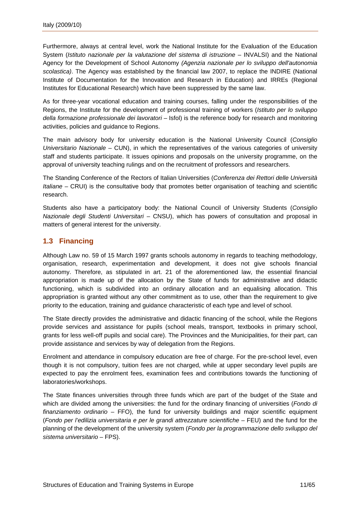<span id="page-12-0"></span>Furthermore, always at central level, work the National Institute for the Evaluation of the Education System (*Istituto nazionale per la valutazione del sistema di istruzione* – INVALSI) and the National Agency for the Development of School Autonomy *(Agenzia nazionale per lo sviluppo dell'autonomia scolastica)*. The Agency was established by the financial law 2007, to replace the INDIRE (National Institute of Documentation for the Innovation and Research in Education) and IRREs (Regional Institutes for Educational Research) which have been suppressed by the same law.

As for three-year vocational education and training courses, falling under the responsibilities of the Regions, the Institute for the development of professional training of workers (*Istituto per lo sviluppo della formazione professionale dei lavoratori* – Isfol) is the reference body for research and monitoring activities, policies and guidance to Regions.

The main advisory body for university education is the National University Council (*Consiglio Universitario Nazionale* – CUN), in which the representatives of the various categories of university staff and students participate. It issues opinions and proposals on the university programme, on the approval of university teaching rulings and on the recruitment of professors and researchers.

The Standing Conference of the Rectors of Italian Universities (*Conferenza dei Rettori delle Università Italiane* – CRUI) is the consultative body that promotes better organisation of teaching and scientific research.

Students also have a participatory body: the National Council of University Students (*Consiglio Nazionale degli Studenti Universitari* – CNSU), which has powers of consultation and proposal in matters of general interest for the university.

### **1.3 Financing**

Although Law no. 59 of 15 March 1997 grants schools autonomy in regards to teaching methodology, organisation, research, experimentation and development, it does not give schools financial autonomy. Therefore, as stipulated in art. 21 of the aforementioned law, the essential financial appropriation is made up of the allocation by the State of funds for administrative and didactic functioning, which is subdivided into an ordinary allocation and an equalising allocation. This appropriation is granted without any other commitment as to use, other than the requirement to give priority to the education, training and guidance characteristic of each type and level of school.

The State directly provides the administrative and didactic financing of the school, while the Regions provide services and assistance for pupils (school meals, transport, textbooks in primary school, grants for less well-off pupils and social care). The Provinces and the Municipalities, for their part, can provide assistance and services by way of delegation from the Regions.

Enrolment and attendance in compulsory education are free of charge. For the pre-school level, even though it is not compulsory, tuition fees are not charged, while at upper secondary level pupils are expected to pay the enrolment fees, examination fees and contributions towards the functioning of laboratories/workshops.

The State finances universities through three funds which are part of the budget of the State and which are divided among the universities: the fund for the ordinary financing of universities (*Fondo di finanziamento ordinario* – FFO), the fund for university buildings and major scientific equipment (*Fondo per l'edilizia universitaria e per le grandi attrezzature scientifiche* – FEU) and the fund for the planning of the development of the university system (*Fondo per la programmazione dello sviluppo del sistema universitario* – FPS).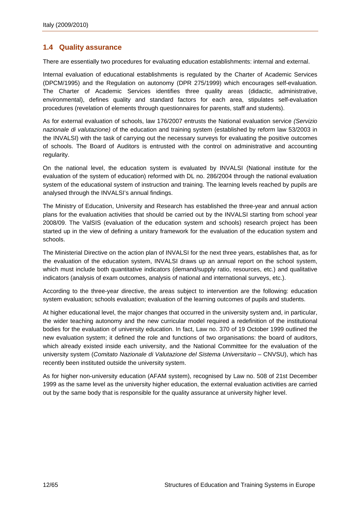#### <span id="page-13-0"></span>**1.4 Quality assurance**

There are essentially two procedures for evaluating education establishments: internal and external.

Internal evaluation of educational establishments is regulated by the Charter of Academic Services (DPCM/1995) and the Regulation on autonomy (DPR 275/1999) which encourages self-evaluation. The Charter of Academic Services identifies three quality areas (didactic, administrative, environmental), defines quality and standard factors for each area, stipulates self-evaluation procedures (revelation of elements through questionnaires for parents, staff and students).

As for external evaluation of schools, law 176/2007 entrusts the National evaluation service *(Servizio nazionale di valutazione)* of the education and training system (established by reform law 53/2003 in the INVALSI) with the task of carrying out the necessary surveys for evaluating the positive outcomes of schools. The Board of Auditors is entrusted with the control on administrative and accounting regularity.

On the national level, the education system is evaluated by INVALSI (National institute for the evaluation of the system of education) reformed with DL no. 286/2004 through the national evaluation system of the educational system of instruction and training. The learning levels reached by pupils are analysed through the INVALSI's annual findings.

The Ministry of Education, University and Research has established the three-year and annual action plans for the evaluation activities that should be carried out by the INVALSI starting from school year 2008/09. The ValSIS (evaluation of the education system and schools) research project has been started up in the view of defining a unitary framework for the evaluation of the education system and schools.

The Ministerial Directive on the action plan of INVALSI for the next three years, establishes that, as for the evaluation of the education system, INVALSI draws up an annual report on the school system, which must include both quantitative indicators (demand/supply ratio, resources, etc.) and qualitative indicators (analysis of exam outcomes, analysis of national and international surveys, etc.).

According to the three-year directive, the areas subject to intervention are the following: education system evaluation; schools evaluation; evaluation of the learning outcomes of pupils and students.

At higher educational level, the major changes that occurred in the university system and, in particular, the wider teaching autonomy and the new curricular model required a redefinition of the institutional bodies for the evaluation of university education. In fact, Law no. 370 of 19 October 1999 outlined the new evaluation system; it defined the role and functions of two organisations: the board of auditors, which already existed inside each university, and the National Committee for the evaluation of the university system (*Comitato Nazionale di Valutazione del Sistema Universitario* – CNVSU), which has recently been instituted outside the university system.

As for higher non-university education (AFAM system), recognised by Law no. 508 of 21st December 1999 as the same level as the university higher education, the external evaluation activities are carried out by the same body that is responsible for the quality assurance at university higher level.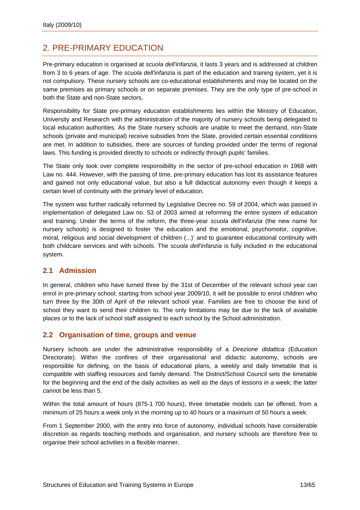# <span id="page-14-0"></span>2. PRE-PRIMARY EDUCATION

Pre-primary education is organised at *scuola dell'infanzia*, it lasts 3 years and is addressed at children from 3 to 6 years of age. The *scuola dell'infanzia* is part of the education and training system, yet it is not compulsory. These nursery schools are co-educational establishments and may be located on the same premises as primary schools or on separate premises. They are the only type of pre-school in both the State and non-State sectors.

Responsibility for State pre-primary education establishments lies within the Ministry of Education, University and Research with the administration of the majority of nursery schools being delegated to local education authorities. As the State nursery schools are unable to meet the demand, non-State schools (private and municipal) receive subsidies from the State, provided certain essential conditions are met. In addition to subsidies, there are sources of funding provided under the terms of regional laws. This funding is provided directly to schools or indirectly through pupils' families.

The State only took over complete responsibility in the sector of pre-school education in 1968 with Law no. 444. However, with the passing of time, pre-primary education has lost its assistance features and gained not only educational value, but also a full didactical autonomy even though it keeps a certain level of continuity with the primary level of education.

The system was further radically reformed by Legislative Decree no. 59 of 2004, which was passed in implementation of delegated Law no. 53 of 2003 aimed at reforming the entire system of education and training. Under the terms of the reform, the three-year *scuola dell'infanzia* (the new name for nursery schools) is designed to foster 'the education and the emotional, psychomotor, cognitive, moral, religious and social development of children (...)' and to guarantee educational continuity with both childcare services and with schools. The *scuola dell'infanzia* is fully included in the educational system.

### **2.1 Admission**

In general, children who have turned three by the 31st of December of the relevant school year can enrol in pre-primary school; starting from school year 2009/10, it will be possible to enrol children who turn three by the 30th of April of the relevant school year. Families are free to choose the kind of school they want to send their children to. The only limitations may be due to the lack of available places or to the lack of school staff assigned to each school by the School administration.

### **2.2 Organisation of time, groups and venue**

Nursery schools are under the administrative responsibility of a *Direzione didattica* (Education Directorate). Within the confines of their organisational and didactic autonomy, schools are responsible for defining, on the basis of educational plans, a weekly and daily timetable that is compatible with staffing resources and family demand. The District/School Council sets the timetable for the beginning and the end of the daily activities as well as the days of lessons in a week; the latter cannot be less than 5.

Within the total amount of hours (875-1 700 hours), three timetable models can be offered, from a minimum of 25 hours a week only in the morning up to 40 hours or a maximum of 50 hours a week.

From 1 September 2000, with the entry into force of autonomy, individual schools have considerable discretion as regards teaching methods and organisation, and nursery schools are therefore free to organise their school activities in a flexible manner.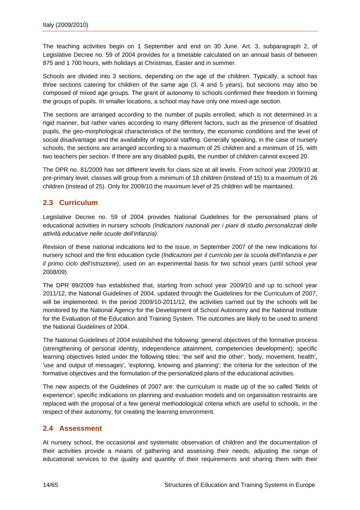<span id="page-15-0"></span>The teaching activities begin on 1 September and end on 30 June. Art. 3, subparagraph 2, of Legislative Decree no. 59 of 2004 provides for a timetable calculated on an annual basis of between 875 and 1 700 hours, with holidays at Christmas, Easter and in summer.

Schools are divided into 3 sections, depending on the age of the children. Typically, a school has three sections catering for children of the same age (3, 4 and 5 years), but sections may also be composed of mixed age groups. The grant of autonomy to schools confirmed their freedom in forming the groups of pupils. In smaller locations, a school may have only one mixed-age section.

The sections are arranged according to the number of pupils enrolled, which is not determined in a rigid manner, but rather varies according to many different factors, such as the presence of disabled pupils, the geo-morphological characteristics of the territory, the economic conditions and the level of social disadvantage and the availability of regional staffing. Generally speaking, in the case of nursery schools, the sections are arranged according to a maximum of 25 children and a minimum of 15, with two teachers per section. If there are any disabled pupils, the number of children cannot exceed 20.

The DPR no. 81/2009 has set different levels for class size at all levels. From school year 2009/10 at pre-primary level, classes will group from a minimum of 18 children (instead of 15) to a maximum of 26 children (instead of 25). Only for 2009/10 the maximum level of 25 children will be maintained.

### **2.3 Curriculum**

Legislative Decree no. 59 of 2004 provides National Guidelines for the personalised plans of educational activities in nursery schools *(Indicazioni nazionali per i piani di studio personalizzati delle attività educative nelle scuole dell'infanzia)*.

Revision of these national indications led to the issue, in September 2007 of the new Indications for nursery school and the first education cycle *(Indicazioni per il curricolo per la scuola dell'infanzia e per il primo ciclo dell'istruzione)*, used on an experimental basis for two school years (until school year 2008/09).

The DPR 89/2009 has established that, starting from school year 2009/10 and up to school year 2011/12, the National Guidelines of 2004, updated through the Guidelines for the Curriculum of 2007, will be implemented. In the period 2009/10-2011/12, the activities carried out by the schools will be monitored by the National Agency for the Development of School Autonomy and the National Institute for the Evaluation of the Education and Training System. The outcomes are likely to be used to amend the National Guidelines of 2004.

The National Guidelines of 2004 established the following: general objectives of the formative process (strengthening of personal identity, independence attainment, competencies development); specific learning objectives listed under the following titles: 'the self and the other', 'body, movement, health', 'use and output of messages', 'exploring, knowing and planning'; the criteria for the selection of the formative objectives and the formulation of the personalized plans of the educational activities.

The new aspects of the Guidelines of 2007 are: the curriculum is made up of the so called 'fields of experience'; specific indications on planning and evaluation models and on organisation restraints are replaced with the proposal of a few general methodological criteria which are useful to schools, in the respect of their autonomy, for creating the learning environment.

### **2.4 Assessment**

At nursery school, the occasional and systematic observation of children and the documentation of their activities provide a means of gathering and assessing their needs, adjusting the range of educational services to the quality and quantity of their requirements and sharing them with their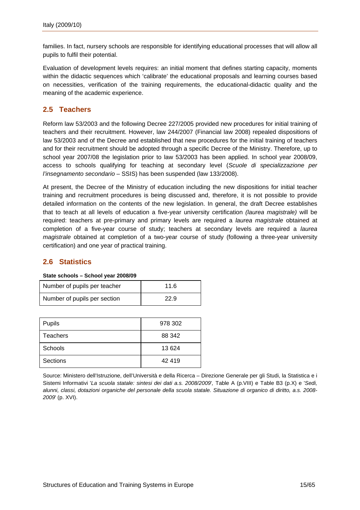<span id="page-16-0"></span>families. In fact, nursery schools are responsible for identifying educational processes that will allow all pupils to fulfil their potential.

Evaluation of development levels requires: an initial moment that defines starting capacity, moments within the didactic sequences which 'calibrate' the educational proposals and learning courses based on necessities, verification of the training requirements, the educational-didactic quality and the meaning of the academic experience.

### **2.5 Teachers**

Reform law 53/2003 and the following Decree 227/2005 provided new procedures for initial training of teachers and their recruitment. However, law 244/2007 (Financial law 2008) repealed dispositions of law 53/2003 and of the Decree and established that new procedures for the initial training of teachers and for their recruitment should be adopted through a specific Decree of the Ministry. Therefore, up to school year 2007/08 the legislation prior to law 53/2003 has been applied. In school year 2008/09, access to schools qualifying for teaching at secondary level (*Scuole di specializzazione per l'insegnamento secondario* – SSIS) has been suspended (law 133/2008).

At present, the Decree of the Ministry of education including the new dispositions for initial teacher training and recruitment procedures is being discussed and, therefore, it is not possible to provide detailed information on the contents of the new legislation. In general, the draft Decree establishes that to teach at all levels of education a five-year university certification *(laurea magistrale)* will be required: teachers at pre-primary and primary levels are required a *laurea magistrale* obtained at completion of a five-year course of study; teachers at secondary levels are required a *laurea magistrale* obtained at completion of a two-year course of study (following a three-year university certification) and one year of practical training.

### **2.6 Statistics**

#### **State schools – School year 2008/09**

| Number of pupils per teacher | 11.6 |
|------------------------------|------|
| Number of pupils per section | 22.9 |

| <b>Pupils</b> | 978 302 |
|---------------|---------|
| Teachers      | 88 342  |
| Schools       | 13 624  |
| Sections      | 42 419  |

Source: Ministero dell'Istruzione, dell'Università e della Ricerca – Direzione Generale per gli Studi, la Statistica e i Sistemi Informativi '*La scuola statale: sintesi dei dati a.s. 2008/2009*'*,* Table A (p.VIII) e Table B3 (p.X) e '*Sedi, alunni, classi, dotazioni organiche del personale della scuola statale. Situazione di organico di diritto, a.s. 2008- 2009*' (p. XVI).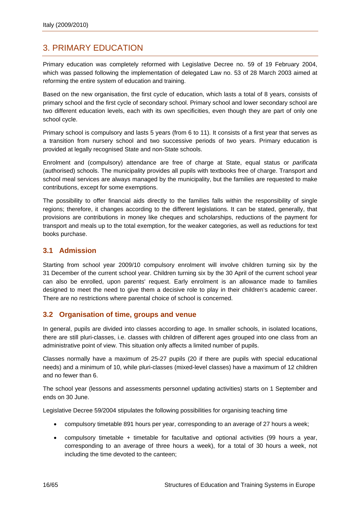# <span id="page-17-0"></span>3. PRIMARY EDUCATION

Primary education was completely reformed with Legislative Decree no. 59 of 19 February 2004, which was passed following the implementation of delegated Law no. 53 of 28 March 2003 aimed at reforming the entire system of education and training.

Based on the new organisation, the first cycle of education, which lasts a total of 8 years, consists of primary school and the first cycle of secondary school. Primary school and lower secondary school are two different education levels, each with its own specificities, even though they are part of only one school cycle.

Primary school is compulsory and lasts 5 years (from 6 to 11). It consists of a first year that serves as a transition from nursery school and two successive periods of two years. Primary education is provided at legally recognised State and non-State schools.

Enrolment and (compulsory) attendance are free of charge at State, equal status or *parificata* (authorised) schools. The municipality provides all pupils with textbooks free of charge. Transport and school meal services are always managed by the municipality, but the families are requested to make contributions, except for some exemptions.

The possibility to offer financial aids directly to the families falls within the responsibility of single regions; therefore, it changes according to the different legislations. It can be stated, generally, that provisions are contributions in money like cheques and scholarships, reductions of the payment for transport and meals up to the total exemption, for the weaker categories, as well as reductions for text books purchase.

### **3.1 Admission**

Starting from school year 2009/10 compulsory enrolment will involve children turning six by the 31 December of the current school year. Children turning six by the 30 April of the current school year can also be enrolled, upon parents' request. Early enrolment is an allowance made to families designed to meet the need to give them a decisive role to play in their children's academic career. There are no restrictions where parental choice of school is concerned.

### **3.2 Organisation of time, groups and venue**

In general, pupils are divided into classes according to age. In smaller schools, in isolated locations, there are still pluri-classes, i.e. classes with children of different ages grouped into one class from an administrative point of view. This situation only affects a limited number of pupils.

Classes normally have a maximum of 25-27 pupils (20 if there are pupils with special educational needs) and a minimum of 10, while pluri-classes (mixed-level classes) have a maximum of 12 children and no fewer than 6.

The school year (lessons and assessments personnel updating activities) starts on 1 September and ends on 30 June.

Legislative Decree 59/2004 stipulates the following possibilities for organising teaching time

- compulsory timetable 891 hours per year, corresponding to an average of 27 hours a week;
- compulsory timetable + timetable for facultative and optional activities (99 hours a year, corresponding to an average of three hours a week), for a total of 30 hours a week, not including the time devoted to the canteen;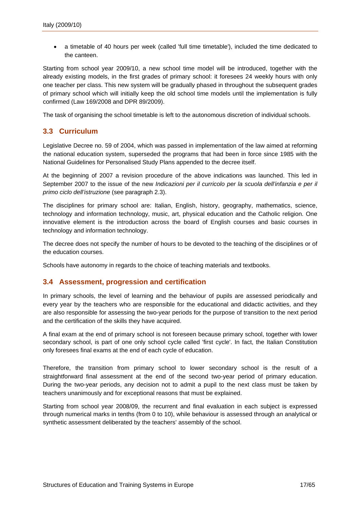<span id="page-18-0"></span>• a timetable of 40 hours per week (called 'full time timetable'), included the time dedicated to the canteen.

Starting from school year 2009/10, a new school time model will be introduced, together with the already existing models, in the first grades of primary school: it foresees 24 weekly hours with only one teacher per class. This new system will be gradually phased in throughout the subsequent grades of primary school which will initially keep the old school time models until the implementation is fully confirmed (Law 169/2008 and DPR 89/2009).

The task of organising the school timetable is left to the autonomous discretion of individual schools.

### **3.3 Curriculum**

Legislative Decree no. 59 of 2004, which was passed in implementation of the law aimed at reforming the national education system, superseded the programs that had been in force since 1985 with the National Guidelines for Personalised Study Plans appended to the decree itself.

At the beginning of 2007 a revision procedure of the above indications was launched. This led in September 2007 to the issue of the new *Indicazioni per il curricolo per la scuola dell'infanzia e per il primo ciclo dell'istruzione* (see paragraph 2.3).

The disciplines for primary school are: Italian, English, history, geography, mathematics, science, technology and information technology, music, art, physical education and the Catholic religion. One innovative element is the introduction across the board of English courses and basic courses in technology and information technology.

The decree does not specify the number of hours to be devoted to the teaching of the disciplines or of the education courses.

Schools have autonomy in regards to the choice of teaching materials and textbooks.

### **3.4 Assessment, progression and certification**

In primary schools, the level of learning and the behaviour of pupils are assessed periodically and every year by the teachers who are responsible for the educational and didactic activities, and they are also responsible for assessing the two-year periods for the purpose of transition to the next period and the certification of the skills they have acquired.

A final exam at the end of primary school is not foreseen because primary school, together with lower secondary school, is part of one only school cycle called 'first cycle'. In fact, the Italian Constitution only foresees final exams at the end of each cycle of education.

Therefore, the transition from primary school to lower secondary school is the result of a straightforward final assessment at the end of the second two-year period of primary education. During the two-year periods, any decision not to admit a pupil to the next class must be taken by teachers unanimously and for exceptional reasons that must be explained.

Starting from school year 2008/09, the recurrent and final evaluation in each subject is expressed through numerical marks in tenths (from 0 to 10), while behaviour is assessed through an analytical or synthetic assessment deliberated by the teachers' assembly of the school.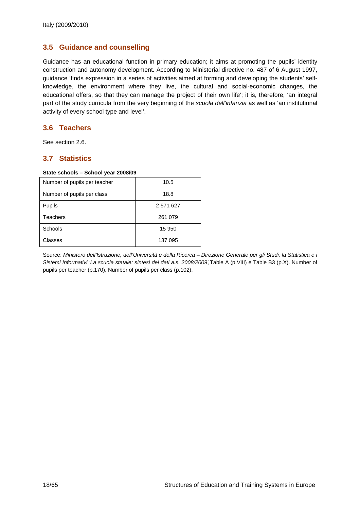### <span id="page-19-0"></span>**3.5 Guidance and counselling**

Guidance has an educational function in primary education; it aims at promoting the pupils' identity construction and autonomy development. According to Ministerial directive no. 487 of 6 August 1997, guidance 'finds expression in a series of activities aimed at forming and developing the students' selfknowledge, the environment where they live, the cultural and social-economic changes, the educational offers, so that they can manage the project of their own life'; it is, therefore, 'an integral part of the study curricula from the very beginning of the *scuola dell'infanzia* as well as 'an institutional activity of every school type and level'.

#### **3.6 Teachers**

See section 2.6.

#### **3.7 Statistics**

#### **State schools – School year 2008/09**

| Number of pupils per teacher | 10.5      |
|------------------------------|-----------|
| Number of pupils per class   | 18.8      |
| Pupils                       | 2 571 627 |
| <b>Teachers</b>              | 261 079   |
| Schools                      | 15 950    |
| Classes                      | 137 095   |

Source: *Ministero dell'Istruzione, dell'Università e della Ricerca – Direzione Generale per gli Studi, la Statistica e i Sistemi Informativi 'La scuola statale: sintesi dei dati a.s. 2008/2009',*Table A (p.VIII) e Table B3 (p.X). Number of pupils per teacher (p.170), Number of pupils per class (p.102).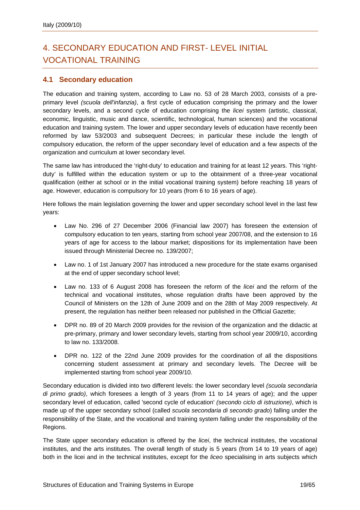# <span id="page-20-0"></span>4. SECONDARY EDUCATION AND FIRST- LEVEL INITIAL VOCATIONAL TRAINING

### **4.1 Secondary education**

The education and training system, according to Law no. 53 of 28 March 2003, consists of a preprimary level *(scuola dell'infanzia)*, a first cycle of education comprising the primary and the lower secondary levels, and a second cycle of education comprising the *licei* system (artistic, classical, economic, linguistic, music and dance, scientific, technological, human sciences) and the vocational education and training system. The lower and upper secondary levels of education have recently been reformed by law 53/2003 and subsequent Decrees; in particular these include the length of compulsory education, the reform of the upper secondary level of education and a few aspects of the organization and curriculum at lower secondary level.

The same law has introduced the 'right-duty' to education and training for at least 12 years. This 'rightduty' is fulfilled within the education system or up to the obtainment of a three-year vocational qualification (either at school or in the initial vocational training system) before reaching 18 years of age. However, education is compulsory for 10 years (from 6 to 16 years of age).

Here follows the main legislation governing the lower and upper secondary school level in the last few years:

- Law No. 296 of 27 December 2006 (Financial law 2007) has foreseen the extension of compulsory education to ten years, starting from school year 2007/08, and the extension to 16 years of age for access to the labour market; dispositions for its implementation have been issued through Ministerial Decree no. 139/2007;
- Law no. 1 of 1st January 2007 has introduced a new procedure for the state exams organised at the end of upper secondary school level;
- Law no. 133 of 6 August 2008 has foreseen the reform of the *licei* and the reform of the technical and vocational institutes, whose regulation drafts have been approved by the Council of Ministers on the 12th of June 2009 and on the 28th of May 2009 respectively. At present, the regulation has neither been released nor published in the Official Gazette;
- DPR no. 89 of 20 March 2009 provides for the revision of the organization and the didactic at pre-primary, primary and lower secondary levels, starting from school year 2009/10, according to law no. 133/2008.
- DPR no. 122 of the 22nd June 2009 provides for the coordination of all the dispositions concerning student assessment at primary and secondary levels. The Decree will be implemented starting from school year 2009/10.

Secondary education is divided into two different levels: the lower secondary level *(scuola secondaria di primo grado)*, which foresees a length of 3 years (from 11 to 14 years of age); and the upper secondary level of education, called 'second cycle of education' *(secondo ciclo di istruzione)*, which is made up of the upper secondary school (called *scuola secondaria di secondo grado*) falling under the responsibility of the State, and the vocational and training system falling under the responsibility of the Regions.

The State upper secondary education is offered by the *licei*, the technical institutes, the vocational institutes, and the arts institutes. The overall length of study is 5 years (from 14 to 19 years of age) both in the licei and in the technical institutes, except for the *liceo* specialising in arts subjects which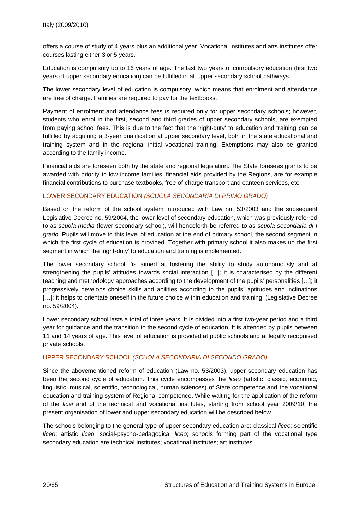offers a course of study of 4 years plus an additional year. Vocational institutes and arts institutes offer courses lasting either 3 or 5 years.

Education is compulsory up to 16 years of age. The last two years of compulsory education (first two years of upper secondary education) can be fulfilled in all upper secondary school pathways.

The lower secondary level of education is compulsory, which means that enrolment and attendance are free of charge. Families are required to pay for the textbooks.

Payment of enrolment and attendance fees is required only for upper secondary schools; however, students who enrol in the first, second and third grades of upper secondary schools, are exempted from paying school fees. This is due to the fact that the 'right-duty' to education and training can be fulfilled by acquiring a 3-year qualification at upper secondary level, both in the state educational and training system and in the regional initial vocational training. Exemptions may also be granted according to the family income.

Financial aids are foreseen both by the state and regional legislation. The State foresees grants to be awarded with priority to low income families; financial aids provided by the Regions, are for example financial contributions to purchase textbooks, free-of-charge transport and canteen services, etc.

#### LOWER SECONDARY EDUCATION *(SCUOLA SECONDARIA DI PRIMO GRADO)*

Based on the reform of the school system introduced with Law no. 53/2003 and the subsequent Legislative Decree no. 59/2004, the lower level of secondary education, which was previously referred to as *scuola media* (lower secondary school), will henceforth be referred to as *scuola secondaria di I grado*. Pupils will move to this level of education at the end of primary school, the second segment in which the first cycle of education is provided. Together with primary school it also makes up the first segment in which the 'right-duty' to education and training is implemented.

The lower secondary school, 'is aimed at fostering the ability to study autonomously and at strengthening the pupils' attitudes towards social interaction [...]; it is characterised by the different teaching and methodology approaches according to the development of the pupils' personalities […]; it progressively develops choice skills and abilities according to the pupils' aptitudes and inclinations [...]; it helps to orientate oneself in the future choice within education and training' (Legislative Decree no. 59/2004).

Lower secondary school lasts a total of three years. It is divided into a first two-year period and a third year for guidance and the transition to the second cycle of education. It is attended by pupils between 11 and 14 years of age. This level of education is provided at public schools and at legally recognised private schools.

#### UPPER SECONDARY SCHOOL *(SCUOLA SECONDARIA DI SECONDO GRADO)*

Since the abovementioned reform of education (Law no. 53/2003), upper secondary education has been the second cycle of education. This cycle encompasses the *liceo* (artistic, classic, economic, linguistic, musical, scientific, technological, human sciences) of State competence and the vocational education and training system of Regional competence. While waiting for the application of the reform of the *licei* and of the technical and vocational institutes, starting from school year 2009/10, the present organisation of lower and upper secondary education will be described below.

The schools belonging to the general type of upper secondary education are: classical *liceo*; scientific *liceo*; artistic *liceo*; social-psycho-pedagogical *liceo*; schools forming part of the vocational type secondary education are technical institutes; vocational institutes; art institutes.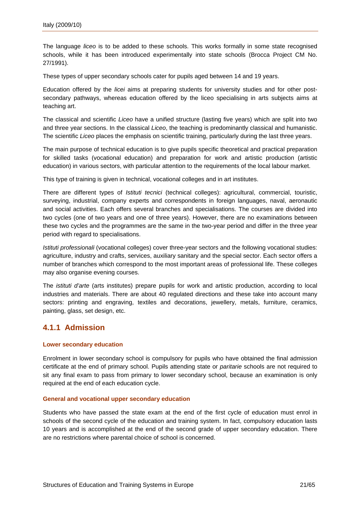<span id="page-22-0"></span>The language *liceo* is to be added to these schools. This works formally in some state recognised schools, while it has been introduced experimentally into state schools (Brocca Project CM No. 27/1991).

These types of upper secondary schools cater for pupils aged between 14 and 19 years.

Education offered by the *licei* aims at preparing students for university studies and for other postsecondary pathways, whereas education offered by the liceo specialising in arts subjects aims at teaching art.

The classical and scientific *Liceo* have a unified structure (lasting five years) which are split into two and three year sections. In the classical *Liceo*, the teaching is predominantly classical and humanistic. The scientific *Liceo* places the emphasis on scientific training, particularly during the last three years.

The main purpose of technical education is to give pupils specific theoretical and practical preparation for skilled tasks (vocational education) and preparation for work and artistic production (artistic education) in various sectors, with particular attention to the requirements of the local labour market.

This type of training is given in technical, vocational colleges and in art institutes.

There are different types of *Istituti tecnici* (technical colleges): agricultural, commercial, touristic, surveying, industrial, company experts and correspondents in foreign languages, naval, aeronautic and social activities. Each offers several branches and specialisations. The courses are divided into two cycles (one of two years and one of three years). However, there are no examinations between these two cycles and the programmes are the same in the two-year period and differ in the three year period with regard to specialisations.

*Istituti professionali* (vocational colleges) cover three-year sectors and the following vocational studies: agriculture, industry and crafts, services, auxiliary sanitary and the special sector. Each sector offers a number of branches which correspond to the most important areas of professional life. These colleges may also organise evening courses.

The *istituti d'arte* (arts institutes) prepare pupils for work and artistic production, according to local industries and materials. There are about 40 regulated directions and these take into account many sectors: printing and engraving, textiles and decorations, jewellery, metals, furniture, ceramics, painting, glass, set design, etc.

#### **4.1.1 Admission**

#### **Lower secondary education**

Enrolment in lower secondary school is compulsory for pupils who have obtained the final admission certificate at the end of primary school. Pupils attending state or *paritarie* schools are not required to sit any final exam to pass from primary to lower secondary school, because an examination is only required at the end of each education cycle.

#### **General and vocational upper secondary education**

Students who have passed the state exam at the end of the first cycle of education must enrol in schools of the second cycle of the education and training system. In fact, compulsory education lasts 10 years and is accomplished at the end of the second grade of upper secondary education. There are no restrictions where parental choice of school is concerned.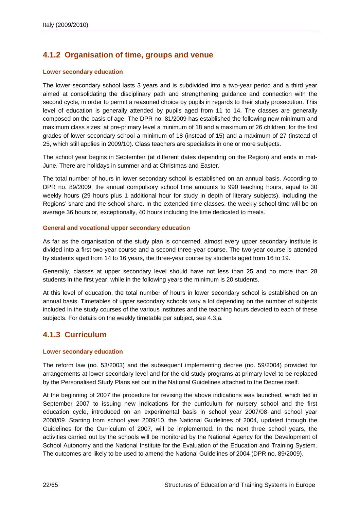### <span id="page-23-0"></span>**4.1.2 Organisation of time, groups and venue**

#### **Lower secondary education**

The lower secondary school lasts 3 years and is subdivided into a two-year period and a third year aimed at consolidating the disciplinary path and strengthening guidance and connection with the second cycle, in order to permit a reasoned choice by pupils in regards to their study prosecution. This level of education is generally attended by pupils aged from 11 to 14. The classes are generally composed on the basis of age. The DPR no. 81/2009 has established the following new minimum and maximum class sizes: at pre-primary level a minimum of 18 and a maximum of 26 children; for the first grades of lower secondary school a minimum of 18 (instead of 15) and a maximum of 27 (instead of 25, which still applies in 2009/10). Class teachers are specialists in one or more subjects.

The school year begins in September (at different dates depending on the Region) and ends in mid-June. There are holidays in summer and at Christmas and Easter.

The total number of hours in lower secondary school is established on an annual basis. According to DPR no. 89/2009, the annual compulsory school time amounts to 990 teaching hours, equal to 30 weekly hours (29 hours plus 1 additional hour for study in depth of literary subjects), including the Regions' share and the school share. In the extended-time classes, the weekly school time will be on average 36 hours or, exceptionally, 40 hours including the time dedicated to meals.

#### **General and vocational upper secondary education**

As far as the organisation of the study plan is concerned, almost every upper secondary institute is divided into a first two-year course and a second three-year course. The two-year course is attended by students aged from 14 to 16 years, the three-year course by students aged from 16 to 19.

Generally, classes at upper secondary level should have not less than 25 and no more than 28 students in the first year, while in the following years the minimum is 20 students.

At this level of education, the total number of hours in lower secondary school is established on an annual basis. Timetables of upper secondary schools vary a lot depending on the number of subjects included in the study courses of the various institutes and the teaching hours devoted to each of these subjects. For details on the weekly timetable per subject, see 4.3.a.

### **4.1.3 Curriculum**

#### **Lower secondary education**

The reform law (no. 53/2003) and the subsequent implementing decree (no. 59/2004) provided for arrangements at lower secondary level and for the old study programs at primary level to be replaced by the Personalised Study Plans set out in the National Guidelines attached to the Decree itself.

At the beginning of 2007 the procedure for revising the above indications was launched, which led in September 2007 to issuing new Indications for the curriculum for nursery school and the first education cycle, introduced on an experimental basis in school year 2007/08 and school year 2008/09. Starting from school year 2009/10, the National Guidelines of 2004, updated through the Guidelines for the Curriculum of 2007, will be implemented. In the next three school years, the activities carried out by the schools will be monitored by the National Agency for the Development of School Autonomy and the National Institute for the Evaluation of the Education and Training System. The outcomes are likely to be used to amend the National Guidelines of 2004 (DPR no. 89/2009).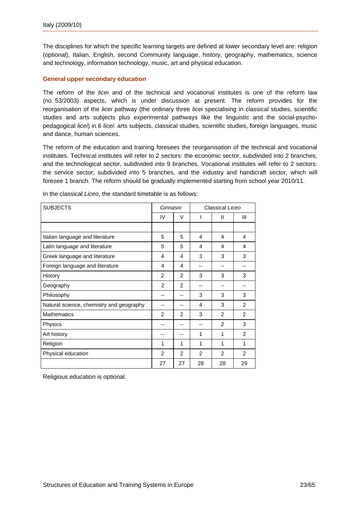The disciplines for which the specific learning targets are defined at lower secondary level are: religion (optional), Italian, English, second Community language, history, geography, mathematics, science and technology, information technology, music, art and physical education.

#### **General upper secondary education**

The reform of the *licei* and of the technical and vocational institutes is one of the reform law (no. 53/2003) aspects, which is under discussion at present. The reform provides for the reorganisation of the *licei* pathway (the ordinary three *licei* specialising in classical studies, scientific studies and arts subjects plus experimental pathways like the linguistic and the social-psychopedagogical *licei*) in 6 *licei*: arts subjects, classical studies, scientific studies, foreign languages, music and dance, human sciences.

The reform of the education and training foresees the reorganisation of the technical and vocational institutes. Technical institutes will refer to 2 sectors: the economic sector, subdivided into 2 branches, and the technological sector, subdivided into 9 branches. Vocational institutes will refer to 2 sectors: the service sector, subdivided into 5 branches, and the industry and handicraft sector, which will foresee 1 branch. The reform should be gradually implemented starting from school year 2010/11.

| <b>SUBJECTS</b>                          | Ginnasio       |                | Classical Liceo |                |                |
|------------------------------------------|----------------|----------------|-----------------|----------------|----------------|
|                                          | IV             | $\vee$         | I               | Ш              | Ш              |
|                                          |                |                |                 |                |                |
| Italian language and literature          | 5              | 5              | 4               | 4              | 4              |
| Latin language and literature            | 5              | 5              | 4               | 4              | 4              |
| Greek language and literature            | 4              | 4              | 3               | 3              | 3              |
| Foreign language and literature          | 4              | 4              | --              | --             | --             |
| History                                  | 2              | 2              | 3               | 3              | 3              |
| Geography                                | $\mathfrak{p}$ | $\mathfrak{p}$ | --              | --             | --             |
| Philosophy                               | --             | --             | 3               | 3              | 3              |
| Natural science, chemistry and geography | --             | --             | 4               | 3              | $\overline{2}$ |
| <b>Mathematics</b>                       | 2              | $\mathfrak{p}$ | 3               | $\overline{2}$ | $\overline{2}$ |
| Physics                                  | --             | --             | --              | $\overline{2}$ | 3              |
| Art history                              |                |                | 1               | 1              | $\overline{2}$ |
| Religion                                 | 1              | 1              | 1               | 1              | 1              |
| Physical education                       | $\overline{2}$ | 2              | $\mathcal{P}$   | 2              | 2              |
|                                          | 27             | 27             | 28              | 28             | 29             |

In the classical *Liceo*, the standard timetable is as follows:

Religious education is optional.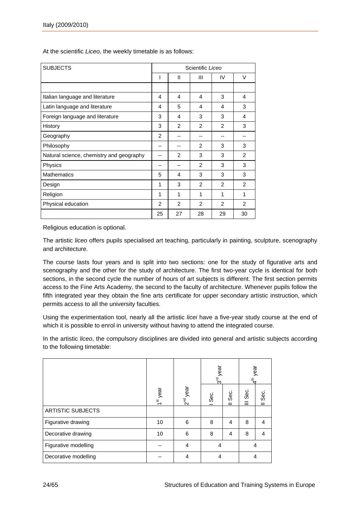| <b>SUBJECTS</b>                          |                |                | Scientific Liceo |                |               |
|------------------------------------------|----------------|----------------|------------------|----------------|---------------|
|                                          | ı              | $\mathbf{I}$   | Ш                | IV             | $\vee$        |
|                                          |                |                |                  |                |               |
| Italian language and literature          | 4              | 4              | 4                | 3              | 4             |
| Latin language and literature            | 4              | 5              | 4                | 4              | 3             |
| Foreign language and literature          | 3              | 4              | 3                | 3              | 4             |
| History                                  | 3              | 2              | $\mathcal{P}$    | $\mathfrak{p}$ | 3             |
| Geography                                | $\overline{2}$ | --             |                  | --             |               |
| Philosophy                               | --             |                | 2                | 3              | 3             |
| Natural science, chemistry and geography | --             | 2              | 3                | 3              | $\mathcal{P}$ |
| Physics                                  | --             | --             | $\overline{2}$   | 3              | 3             |
| <b>Mathematics</b>                       | 5              | 4              | 3                | 3              | 3             |
| Design                                   | 1              | 3              | $\mathcal{P}$    | $\mathfrak{p}$ | $\mathcal{P}$ |
| Religion                                 | 1              | 1              | 1                | 1              | 1             |
| Physical education                       | $\overline{2}$ | $\overline{2}$ | $\mathcal{P}$    | 2              | 2             |
|                                          | 25             | 27             | 28               | 29             | 30            |

At the scientific *Liceo*, the weekly timetable is as follows:

Religious education is optional.

The artistic *liceo* offers pupils specialised art teaching, particularly in painting, sculpture, scenography and architecture.

The course lasts four years and is split into two sections: one for the study of figurative arts and scenography and the other for the study of architecture. The first two-year cycle is identical for both sections, in the second cycle the number of hours of art subjects is different. The first section permits access to the Fine Arts Academy, the second to the faculty of architecture. Whenever pupils follow the fifth integrated year they obtain the fine arts certificate for upper secondary artistic instruction, which permits access to all the university faculties.

Using the experimentation tool, nearly all the artistic *licei* have a five-year study course at the end of which it is possible to enrol in university without having to attend the integrated course.

In the artistic *liceo*, the compulsory disciplines are divided into general and artistic subjects according to the following timetable:

|                          |                      |                      |                | year<br>$\frac{1}{3}$ |      | year<br>$\vec{a}$ |  |
|--------------------------|----------------------|----------------------|----------------|-----------------------|------|-------------------|--|
|                          | 1 <sup>st</sup> year | 2 <sup>nd</sup> year | Sec.           | Sec.                  | Sec. | Sec.              |  |
| <b>ARTISTIC SUBJECTS</b> |                      |                      |                |                       |      |                   |  |
| Figurative drawing       | 10                   | 6                    | 8              | $\overline{4}$        | 8    | 4                 |  |
| Decorative drawing       | 10                   | 6                    | 8              | $\overline{4}$        | 8    | 4                 |  |
| Figurative modelling     |                      | $\overline{4}$       | $\overline{4}$ |                       |      | 4                 |  |
| Decorative modelling     |                      | 4                    | 4              |                       |      | 4                 |  |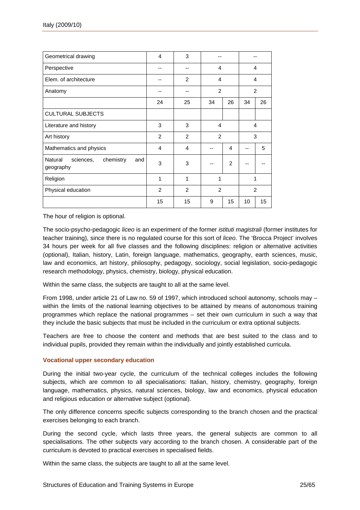| Geometrical drawing                                   | 4              | 3              |                |    |                |                |
|-------------------------------------------------------|----------------|----------------|----------------|----|----------------|----------------|
| Perspective                                           |                | --             | $\overline{4}$ |    | 4              |                |
| Elem. of architecture                                 |                | 2              | 4              |    |                | 4              |
| Anatomy                                               |                |                | $\overline{2}$ |    | $\overline{2}$ |                |
|                                                       | 24             | 25             | 34             | 26 | 34             | 26             |
| <b>CULTURAL SUBJECTS</b>                              |                |                |                |    |                |                |
| Literature and history                                | 3              | 3              | 4              | 4  |                |                |
| Art history                                           | $\overline{2}$ | $\overline{2}$ | $\overline{2}$ |    | 3              |                |
| Mathematics and physics                               | 4              | 4              |                | 4  |                | 5              |
| Natural<br>chemistry<br>sciences,<br>and<br>geography | 3              | 3              |                | 2  |                |                |
| Religion                                              | 1              | 1              | 1              |    | 1              |                |
| Physical education                                    | $\overline{2}$ | 2              | $\overline{2}$ |    |                | $\overline{2}$ |
|                                                       | 15             | 15             | 9              | 15 | 10             | 15             |

The hour of religion is optional.

The socio-psycho-pedagogic *liceo* is an experiment of the former *istituti magistrali* (former institutes for teacher training), since there is no regulated course for this sort of *liceo*. The 'Brocca Project' involves 34 hours per week for all five classes and the following disciplines: religion or alternative activities (optional), Italian, history, Latin, foreign language, mathematics, geography, earth sciences, music, law and economics, art history, philosophy, pedagogy, sociology, social legislation, socio-pedagogic research methodology, physics, chemistry, biology, physical education.

Within the same class, the subjects are taught to all at the same level.

From 1998, under article 21 of Law no. 59 of 1997, which introduced school autonomy, schools may – within the limits of the national learning objectives to be attained by means of autonomous training programmes which replace the national programmes – set their own curriculum in such a way that they include the basic subjects that must be included in the curriculum or extra optional subjects.

Teachers are free to choose the content and methods that are best suited to the class and to individual pupils, provided they remain within the individually and jointly established curricula.

#### **Vocational upper secondary education**

During the initial two-year cycle, the curriculum of the technical colleges includes the following subjects, which are common to all specialisations: Italian, history, chemistry, geography, foreign language, mathematics, physics, natural sciences, biology, law and economics, physical education and religious education or alternative subject (optional).

The only difference concerns specific subjects corresponding to the branch chosen and the practical exercises belonging to each branch.

During the second cycle, which lasts three years, the general subjects are common to all specialisations. The other subjects vary according to the branch chosen. A considerable part of the curriculum is devoted to practical exercises in specialised fields.

Within the same class, the subjects are taught to all at the same level.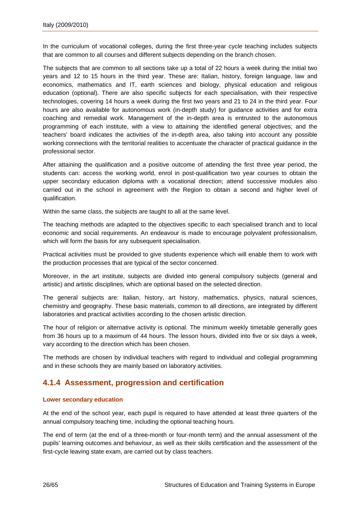<span id="page-27-0"></span>In the curriculum of vocational colleges, during the first three-year cycle teaching includes subjects that are common to all courses and different subjects depending on the branch chosen.

The subjects that are common to all sections take up a total of 22 hours a week during the initial two years and 12 to 15 hours in the third year. These are: Italian, history, foreign language, law and economics, mathematics and IT, earth sciences and biology, physical education and religious education (optional). There are also specific subjects for each specialisation, with their respective technologies, covering 14 hours a week during the first two years and 21 to 24 in the third year. Four hours are also available for autonomous work (in-depth study) for guidance activities and for extra coaching and remedial work. Management of the in-depth area is entrusted to the autonomous programming of each institute, with a view to attaining the identified general objectives; and the teachers' board indicates the activities of the in-depth area, also taking into account any possible working connections with the territorial realities to accentuate the character of practical guidance in the professional sector.

After attaining the qualification and a positive outcome of attending the first three year period, the students can: access the working world, enrol in post-qualification two year courses to obtain the upper secondary education diploma with a vocational direction; attend successive modules also carried out in the school in agreement with the Region to obtain a second and higher level of qualification.

Within the same class, the subjects are taught to all at the same level.

The teaching methods are adapted to the objectives specific to each specialised branch and to local economic and social requirements. An endeavour is made to encourage polyvalent professionalism, which will form the basis for any subsequent specialisation.

Practical activities must be provided to give students experience which will enable them to work with the production processes that are typical of the sector concerned.

Moreover, in the art institute, subjects are divided into general compulsory subjects (general and artistic) and artistic disciplines, which are optional based on the selected direction.

The general subjects are: Italian, history, art history, mathematics, physics, natural sciences, chemistry and geography. These basic materials, common to all directions, are integrated by different laboratories and practical activities according to the chosen artistic direction.

The hour of religion or alternative activity is optional. The minimum weekly timetable generally goes from 36 hours up to a maximum of 44 hours. The lesson hours, divided into five or six days a week, vary according to the direction which has been chosen.

The methods are chosen by individual teachers with regard to individual and collegial programming and in these schools they are mainly based on laboratory activities.

### **4.1.4 Assessment, progression and certification**

#### **Lower secondary education**

At the end of the school year, each pupil is required to have attended at least three quarters of the annual compulsory teaching time, including the optional teaching hours.

The end of term (at the end of a three-month or four-month term) and the annual assessment of the pupils' learning outcomes and behaviour, as well as their skills certification and the assessment of the first-cycle leaving state exam, are carried out by class teachers.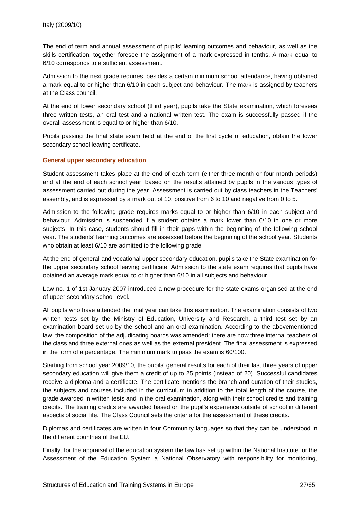The end of term and annual assessment of pupils' learning outcomes and behaviour, as well as the skills certification, together foresee the assignment of a mark expressed in tenths. A mark equal to 6/10 corresponds to a sufficient assessment.

Admission to the next grade requires, besides a certain minimum school attendance, having obtained a mark equal to or higher than 6/10 in each subject and behaviour. The mark is assigned by teachers at the Class council.

At the end of lower secondary school (third year), pupils take the State examination, which foresees three written tests, an oral test and a national written test. The exam is successfully passed if the overall assessment is equal to or higher than 6/10.

Pupils passing the final state exam held at the end of the first cycle of education, obtain the lower secondary school leaving certificate.

#### **General upper secondary education**

Student assessment takes place at the end of each term (either three-month or four-month periods) and at the end of each school year, based on the results attained by pupils in the various types of assessment carried out during the year. Assessment is carried out by class teachers in the Teachers' assembly, and is expressed by a mark out of 10, positive from 6 to 10 and negative from 0 to 5.

Admission to the following grade requires marks equal to or higher than 6/10 in each subject and behaviour. Admission is suspended if a student obtains a mark lower than 6/10 in one or more subjects. In this case, students should fill in their gaps within the beginning of the following school year. The students' learning outcomes are assessed before the beginning of the school year. Students who obtain at least 6/10 are admitted to the following grade.

At the end of general and vocational upper secondary education, pupils take the State examination for the upper secondary school leaving certificate. Admission to the state exam requires that pupils have obtained an average mark equal to or higher than 6/10 in all subjects and behaviour.

Law no. 1 of 1st January 2007 introduced a new procedure for the state exams organised at the end of upper secondary school level.

All pupils who have attended the final year can take this examination. The examination consists of two written tests set by the Ministry of Education, University and Research, a third test set by an examination board set up by the school and an oral examination. According to the abovementioned law, the composition of the adjudicating boards was amended: there are now three internal teachers of the class and three external ones as well as the external president. The final assessment is expressed in the form of a percentage. The minimum mark to pass the exam is 60/100.

Starting from school year 2009/10, the pupils' general results for each of their last three years of upper secondary education will give them a credit of up to 25 points (instead of 20). Successful candidates receive a diploma and a certificate. The certificate mentions the branch and duration of their studies, the subjects and courses included in the curriculum in addition to the total length of the course, the grade awarded in written tests and in the oral examination, along with their school credits and training credits. The training credits are awarded based on the pupil's experience outside of school in different aspects of social life. The Class Council sets the criteria for the assessment of these credits.

Diplomas and certificates are written in four Community languages so that they can be understood in the different countries of the EU.

Finally, for the appraisal of the education system the law has set up within the National Institute for the Assessment of the Education System a National Observatory with responsibility for monitoring,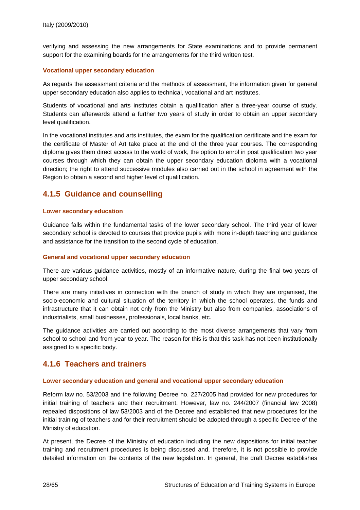<span id="page-29-0"></span>verifying and assessing the new arrangements for State examinations and to provide permanent support for the examining boards for the arrangements for the third written test.

#### **Vocational upper secondary education**

As regards the assessment criteria and the methods of assessment, the information given for general upper secondary education also applies to technical, vocational and art institutes.

Students of vocational and arts institutes obtain a qualification after a three-year course of study. Students can afterwards attend a further two years of study in order to obtain an upper secondary level qualification.

In the vocational institutes and arts institutes, the exam for the qualification certificate and the exam for the certificate of Master of Art take place at the end of the three year courses. The corresponding diploma gives them direct access to the world of work, the option to enrol in post qualification two year courses through which they can obtain the upper secondary education diploma with a vocational direction; the right to attend successive modules also carried out in the school in agreement with the Region to obtain a second and higher level of qualification.

### **4.1.5 Guidance and counselling**

#### **Lower secondary education**

Guidance falls within the fundamental tasks of the lower secondary school. The third year of lower secondary school is devoted to courses that provide pupils with more in-depth teaching and guidance and assistance for the transition to the second cycle of education.

#### **General and vocational upper secondary education**

There are various guidance activities, mostly of an informative nature, during the final two years of upper secondary school.

There are many initiatives in connection with the branch of study in which they are organised, the socio-economic and cultural situation of the territory in which the school operates, the funds and infrastructure that it can obtain not only from the Ministry but also from companies, associations of industrialists, small businesses, professionals, local banks, etc.

The guidance activities are carried out according to the most diverse arrangements that vary from school to school and from year to year. The reason for this is that this task has not been institutionally assigned to a specific body.

### **4.1.6 Teachers and trainers**

#### **Lower secondary education and general and vocational upper secondary education**

Reform law no. 53/2003 and the following Decree no. 227/2005 had provided for new procedures for initial training of teachers and their recruitment. However, law no. 244/2007 (financial law 2008) repealed dispositions of law 53/2003 and of the Decree and established that new procedures for the initial training of teachers and for their recruitment should be adopted through a specific Decree of the Ministry of education.

At present, the Decree of the Ministry of education including the new dispositions for initial teacher training and recruitment procedures is being discussed and, therefore, it is not possible to provide detailed information on the contents of the new legislation. In general, the draft Decree establishes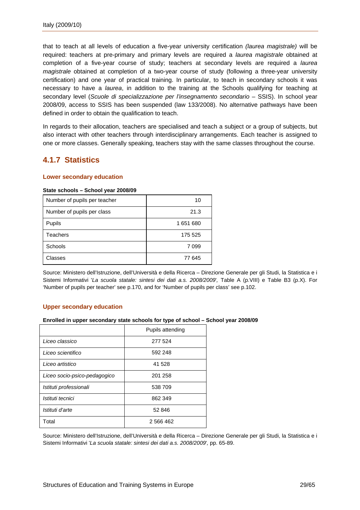<span id="page-30-0"></span>that to teach at all levels of education a five-year university certification *(laurea magistrale)* will be required: teachers at pre-primary and primary levels are required a *laurea magistrale* obtained at completion of a five-year course of study; teachers at secondary levels are required a *laurea magistrale* obtained at completion of a two-year course of study (following a three-year university certification) and one year of practical training. In particular, to teach in secondary schools it was necessary to have a *laurea*, in addition to the training at the Schools qualifying for teaching at secondary level (*Scuole di specializzazione per l'insegnamento secondario* – SSIS). In school year 2008/09, access to SSIS has been suspended (law 133/2008). No alternative pathways have been defined in order to obtain the qualification to teach.

In regards to their allocation, teachers are specialised and teach a subject or a group of subjects, but also interact with other teachers through interdisciplinary arrangements. Each teacher is assigned to one or more classes. Generally speaking, teachers stay with the same classes throughout the course.

### **4.1.7 Statistics**

#### **Lower secondary education**

#### **State schools – School year 2008/09**

| Number of pupils per teacher | 10      |
|------------------------------|---------|
| Number of pupils per class   | 21.3    |
| Pupils                       | 1651680 |
| Teachers                     | 175 525 |
| Schools                      | 7099    |
| Classes                      | 77 645  |

Source: Ministero dell'Istruzione, dell'Università e della Ricerca – Direzione Generale per gli Studi, la Statistica e i Sistemi Informativi '*La scuola statale: sintesi dei dati a.s. 2008/2009*'*,* Table A (p.VIII) e Table B3 (p.X). For 'Number of pupils per teacher' see p.170, and for 'Number of pupils per class' see p.102.

#### **Upper secondary education**

#### **Enrolled in upper secondary state schools for type of school – School year 2008/09**

|                              | Pupils attending |
|------------------------------|------------------|
| Liceo classico               | 277 524          |
| Liceo scientifico            | 592 248          |
| Liceo artistico              | 41 528           |
| Liceo socio-psico-pedagogico | 201 258          |
| Istituti professionali       | 538 709          |
| Istituti tecnici             | 862 349          |
| Istituti d'arte              | 52 846           |
| Total                        | 2 566 462        |

Source: Ministero dell'Istruzione, dell'Università e della Ricerca – Direzione Generale per gli Studi, la Statistica e i Sistemi Informativi '*La scuola statale: sintesi dei dati a.s. 2008/2009*'*,* pp. 65-89.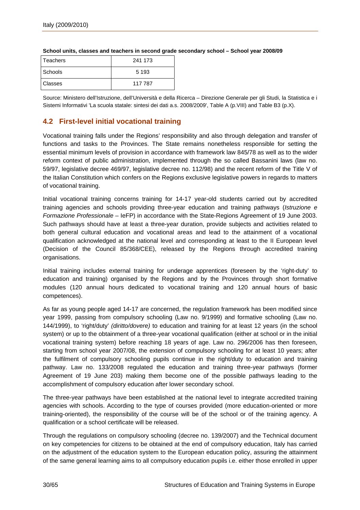| <b>Teachers</b> | 241 173 |
|-----------------|---------|
| Schools         | 5 1 9 3 |
| <b>Classes</b>  | 117 787 |

#### <span id="page-31-0"></span>**School units, classes and teachers in second grade secondary school – School year 2008/09**

Source: Ministero dell'Istruzione, dell'Università e della Ricerca – Direzione Generale per gli Studi, la Statistica e i Sistemi Informativi 'La scuola statale: sintesi dei dati a.s. 2008/2009', Table A (p.VIII) and Table B3 (p.X).

### **4.2 First-level initial vocational training**

Vocational training falls under the Regions' responsibility and also through delegation and transfer of functions and tasks to the Provinces. The State remains nonetheless responsible for setting the essential minimum levels of provision in accordance with framework law 845/78 as well as to the wider reform context of public administration, implemented through the so called Bassanini laws (law no. 59/97, legislative decree 469/97, legislative decree no. 112/98) and the recent reform of the Title V of the Italian Constitution which confers on the Regions exclusive legislative powers in regards to matters of vocational training.

Initial vocational training concerns training for 14-17 year-old students carried out by accredited training agencies and schools providing three-year education and training pathways (*Istruzione e Formazione Professionale* – IeFP) in accordance with the State-Regions Agreement of 19 June 2003. Such pathways should have at least a three-year duration, provide subjects and activities related to both general cultural education and vocational areas and lead to the attainment of a vocational qualification acknowledged at the national level and corresponding at least to the II European level (Decision of the Council 85/368/CEE), released by the Regions through accredited training organisations.

Initial training includes external training for underage apprentices (foreseen by the 'right-duty' to education and training) organised by the Regions and by the Provinces through short formative modules (120 annual hours dedicated to vocational training and 120 annual hours of basic competences).

As far as young people aged 14-17 are concerned, the regulation framework has been modified since year 1999, passing from compulsory schooling (Law no. 9/1999) and formative schooling (Law no. 144/1999), to 'right/duty' *(diritto/dovere)* to education and training for at least 12 years (in the school system) or up to the obtainment of a three-year vocational qualification (either at school or in the initial vocational training system) before reaching 18 years of age. Law no. 296/2006 has then foreseen, starting from school year 2007/08, the extension of compulsory schooling for at least 10 years; after the fulfilment of compulsory schooling pupils continue in the right/duty to education and training pathway. Law no. 133/2008 regulated the education and training three-year pathways (former Agreement of 19 June 203) making them become one of the possible pathways leading to the accomplishment of compulsory education after lower secondary school.

The three-year pathways have been established at the national level to integrate accredited training agencies with schools. According to the type of courses provided (more education-oriented or more training-oriented), the responsibility of the course will be of the school or of the training agency. A qualification or a school certificate will be released.

Through the regulations on compulsory schooling (decree no. 139/2007) and the Technical document on key competencies for citizens to be obtained at the end of compulsory education, Italy has carried on the adjustment of the education system to the European education policy, assuring the attainment of the same general learning aims to all compulsory education pupils i.e. either those enrolled in upper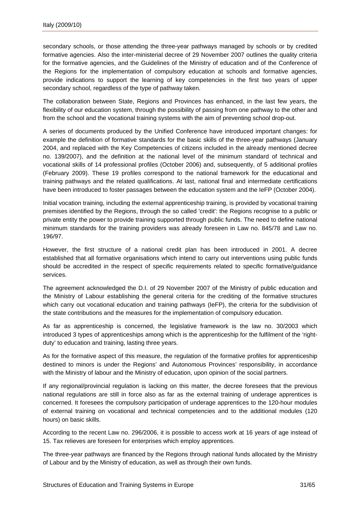secondary schools, or those attending the three-year pathways managed by schools or by credited formative agencies. Also the inter-ministerial decree of 29 November 2007 outlines the quality criteria for the formative agencies, and the Guidelines of the Ministry of education and of the Conference of the Regions for the implementation of compulsory education at schools and formative agencies, provide indications to support the learning of key competencies in the first two years of upper secondary school, regardless of the type of pathway taken.

The collaboration between State, Regions and Provinces has enhanced, in the last few years, the flexibility of our education system, through the possibility of passing from one pathway to the other and from the school and the vocational training systems with the aim of preventing school drop-out.

A series of documents produced by the Unified Conference have introduced important changes: for example the definition of formative standards for the basic skills of the three-year pathways (January 2004, and replaced with the Key Competencies of citizens included in the already mentioned decree no. 139/2007), and the definition at the national level of the minimum standard of technical and vocational skills of 14 professional profiles (October 2006) and, subsequently, of 5 additional profiles (February 2009). These 19 profiles correspond to the national framework for the educational and training pathways and the related qualifications. At last, national final and intermediate certifications have been introduced to foster passages between the education system and the IeFP (October 2004).

Initial vocation training, including the external apprenticeship training, is provided by vocational training premises identified by the Regions, through the so called 'credit': the Regions recognise to a public or private entity the power to provide training supported through public funds. The need to define national minimum standards for the training providers was already foreseen in Law no. 845/78 and Law no. 196/97.

However, the first structure of a national credit plan has been introduced in 2001. A decree established that all formative organisations which intend to carry out interventions using public funds should be accredited in the respect of specific requirements related to specific formative/guidance services.

The agreement acknowledged the D.I. of 29 November 2007 of the Ministry of public education and the Ministry of Labour establishing the general criteria for the crediting of the formative structures which carry out vocational education and training pathways (IeFP), the criteria for the subdivision of the state contributions and the measures for the implementation of compulsory education.

As far as apprenticeship is concerned, the legislative framework is the law no. 30/2003 which introduced 3 types of apprenticeships among which is the apprenticeship for the fulfilment of the 'rightduty' to education and training, lasting three years.

As for the formative aspect of this measure, the regulation of the formative profiles for apprenticeship destined to minors is under the Regions' and Autonomous Provinces' responsibility, in accordance with the Ministry of labour and the Ministry of education, upon opinion of the social partners.

If any regional/provincial regulation is lacking on this matter, the decree foresees that the previous national regulations are still in force also as far as the external training of underage apprentices is concerned. It foresees the compulsory participation of underage apprentices to the 120-hour modules of external training on vocational and technical competencies and to the additional modules (120 hours) on basic skills.

According to the recent Law no. 296/2006, it is possible to access work at 16 years of age instead of 15. Tax relieves are foreseen for enterprises which employ apprentices.

The three-year pathways are financed by the Regions through national funds allocated by the Ministry of Labour and by the Ministry of education, as well as through their own funds.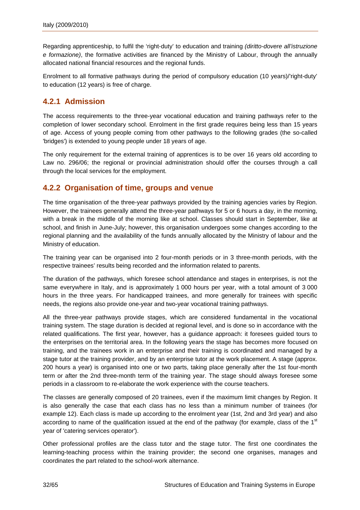<span id="page-33-0"></span>Regarding apprenticeship, to fulfil the 'right-duty' to education and training *(diritto-dovere all'istruzione e formazione)*, the formative activities are financed by the Ministry of Labour, through the annually allocated national financial resources and the regional funds.

Enrolment to all formative pathways during the period of compulsory education (10 years)/'right-duty' to education (12 years) is free of charge.

### **4.2.1 Admission**

The access requirements to the three-year vocational education and training pathways refer to the completion of lower secondary school. Enrolment in the first grade requires being less than 15 years of age. Access of young people coming from other pathways to the following grades (the so-called 'bridges') is extended to young people under 18 years of age.

The only requirement for the external training of apprentices is to be over 16 years old according to Law no. 296/06; the regional or provincial administration should offer the courses through a call through the local services for the employment.

### **4.2.2 Organisation of time, groups and venue**

The time organisation of the three-year pathways provided by the training agencies varies by Region. However, the trainees generally attend the three-year pathways for 5 or 6 hours a day, in the morning, with a break in the middle of the morning like at school. Classes should start in September, like at school, and finish in June-July; however, this organisation undergoes some changes according to the regional planning and the availability of the funds annually allocated by the Ministry of labour and the Ministry of education.

The training year can be organised into 2 four-month periods or in 3 three-month periods, with the respective trainees' results being recorded and the information related to parents.

The duration of the pathways, which foresee school attendance and stages in enterprises, is not the same everywhere in Italy, and is approximately 1 000 hours per year, with a total amount of 3 000 hours in the three years. For handicapped trainees, and more generally for trainees with specific needs, the regions also provide one-year and two-year vocational training pathways.

All the three-year pathways provide stages, which are considered fundamental in the vocational training system. The stage duration is decided at regional level, and is done so in accordance with the related qualifications. The first year, however, has a guidance approach: it foresees guided tours to the enterprises on the territorial area. In the following years the stage has becomes more focused on training, and the trainees work in an enterprise and their training is coordinated and managed by a stage tutor at the training provider, and by an enterprise tutor at the work placement. A stage (approx. 200 hours a year) is organised into one or two parts, taking place generally after the 1st four-month term or after the 2nd three-month term of the training year. The stage should always foresee some periods in a classroom to re-elaborate the work experience with the course teachers.

The classes are generally composed of 20 trainees, even if the maximum limit changes by Region. It is also generally the case that each class has no less than a minimum number of trainees (for example 12). Each class is made up according to the enrolment year (1st, 2nd and 3rd year) and also according to name of the qualification issued at the end of the pathway (for example, class of the  $1<sup>st</sup>$ year of 'catering services operator').

Other professional profiles are the class tutor and the stage tutor. The first one coordinates the learning-teaching process within the training provider; the second one organises, manages and coordinates the part related to the school-work alternance.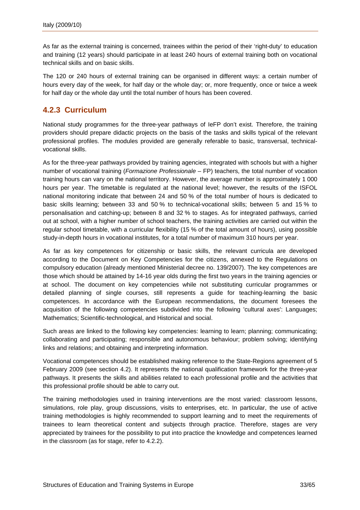<span id="page-34-0"></span>As far as the external training is concerned, trainees within the period of their 'right-duty' to education and training (12 years) should participate in at least 240 hours of external training both on vocational technical skills and on basic skills.

The 120 or 240 hours of external training can be organised in different ways: a certain number of hours every day of the week, for half day or the whole day; or, more frequently, once or twice a week for half day or the whole day until the total number of hours has been covered.

### **4.2.3 Curriculum**

National study programmes for the three-year pathways of IeFP don't exist. Therefore, the training providers should prepare didactic projects on the basis of the tasks and skills typical of the relevant professional profiles. The modules provided are generally referable to basic, transversal, technicalvocational skills.

As for the three-year pathways provided by training agencies, integrated with schools but with a higher number of vocational training (*Formazione Professionale* – FP) teachers, the total number of vocation training hours can vary on the national territory. However, the average number is approximately 1 000 hours per year. The timetable is regulated at the national level; however, the results of the ISFOL national monitoring indicate that between 24 and 50 % of the total number of hours is dedicated to basic skills learning; between 33 and 50 % to technical-vocational skills; between 5 and 15 % to personalisation and catching-up; between 8 and 32 % to stages. As for integrated pathways, carried out at school, with a higher number of school teachers, the training activities are carried out within the regular school timetable, with a curricular flexibility (15 % of the total amount of hours), using possible study-in-depth hours in vocational institutes, for a total number of maximum 310 hours per year.

As far as key competences for citizenship or basic skills, the relevant curricula are developed according to the Document on Key Competencies for the citizens, annexed to the Regulations on compulsory education (already mentioned Ministerial decree no. 139/2007). The key competences are those which should be attained by 14-16 year olds during the first two years in the training agencies or at school. The document on key competencies while not substituting curricular programmes or detailed planning of single courses, still represents a guide for teaching-learning the basic competences. In accordance with the European recommendations, the document foresees the acquisition of the following competencies subdivided into the following 'cultural axes': Languages; Mathematics; Scientific-technological, and Historical and social.

Such areas are linked to the following key competencies: learning to learn; planning; communicating; collaborating and participating; responsible and autonomous behaviour; problem solving; identifying links and relations; and obtaining and interpreting information.

Vocational competences should be established making reference to the State-Regions agreement of 5 February 2009 (see section 4.2). It represents the national qualification framework for the three-year pathways. It presents the skills and abilities related to each professional profile and the activities that this professional profile should be able to carry out.

The training methodologies used in training interventions are the most varied: classroom lessons, simulations, role play, group discussions, visits to enterprises, etc. In particular, the use of active training methodologies is highly recommended to support learning and to meet the requirements of trainees to learn theoretical content and subjects through practice. Therefore, stages are very appreciated by trainees for the possibility to put into practice the knowledge and competences learned in the classroom (as for stage, refer to 4.2.2).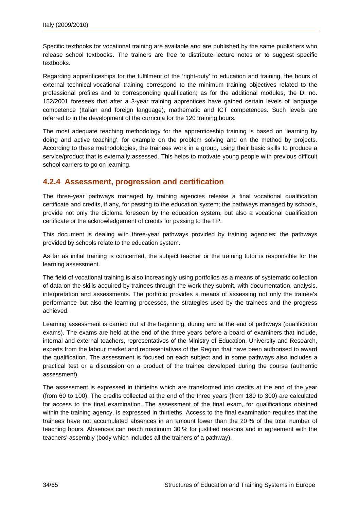<span id="page-35-0"></span>Specific textbooks for vocational training are available and are published by the same publishers who release school textbooks. The trainers are free to distribute lecture notes or to suggest specific textbooks.

Regarding apprenticeships for the fulfilment of the 'right-duty' to education and training, the hours of external technical-vocational training correspond to the minimum training objectives related to the professional profiles and to corresponding qualification; as for the additional modules, the DI no. 152/2001 foresees that after a 3-year training apprentices have gained certain levels of language competence (Italian and foreign language), mathematic and ICT competences. Such levels are referred to in the development of the curricula for the 120 training hours.

The most adequate teaching methodology for the apprenticeship training is based on 'learning by doing and active teaching', for example on the problem solving and on the method by projects. According to these methodologies, the trainees work in a group, using their basic skills to produce a service/product that is externally assessed. This helps to motivate young people with previous difficult school carriers to go on learning.

### **4.2.4 Assessment, progression and certification**

The three-year pathways managed by training agencies release a final vocational qualification certificate and credits, if any, for passing to the education system; the pathways managed by schools, provide not only the diploma foreseen by the education system, but also a vocational qualification certificate or the acknowledgement of credits for passing to the FP.

This document is dealing with three-year pathways provided by training agencies; the pathways provided by schools relate to the education system.

As far as initial training is concerned, the subject teacher or the training tutor is responsible for the learning assessment.

The field of vocational training is also increasingly using portfolios as a means of systematic collection of data on the skills acquired by trainees through the work they submit, with documentation, analysis, interpretation and assessments. The portfolio provides a means of assessing not only the trainee's performance but also the learning processes, the strategies used by the trainees and the progress achieved.

Learning assessment is carried out at the beginning, during and at the end of pathways (qualification exams). The exams are held at the end of the three years before a board of examiners that include, internal and external teachers, representatives of the Ministry of Education, University and Research, experts from the labour market and representatives of the Region that have been authorised to award the qualification. The assessment is focused on each subject and in some pathways also includes a practical test or a discussion on a product of the trainee developed during the course (authentic assessment).

The assessment is expressed in thirtieths which are transformed into credits at the end of the year (from 60 to 100). The credits collected at the end of the three years (from 180 to 300) are calculated for access to the final examination. The assessment of the final exam, for qualifications obtained within the training agency, is expressed in thirtieths. Access to the final examination requires that the trainees have not accumulated absences in an amount lower than the 20 % of the total number of teaching hours. Absences can reach maximum 30 % for justified reasons and in agreement with the teachers' assembly (body which includes all the trainers of a pathway).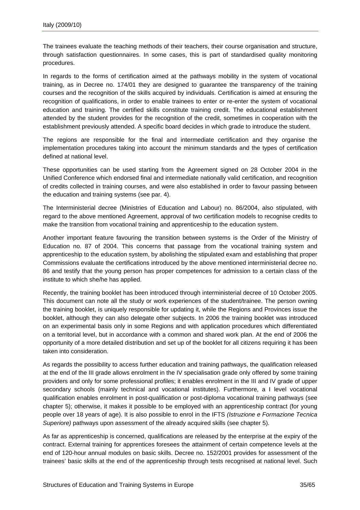The trainees evaluate the teaching methods of their teachers, their course organisation and structure, through satisfaction questionnaires. In some cases, this is part of standardised quality monitoring procedures.

In regards to the forms of certification aimed at the pathways mobility in the system of vocational training, as in Decree no. 174/01 they are designed to guarantee the transparency of the training courses and the recognition of the skills acquired by individuals. Certification is aimed at ensuring the recognition of qualifications, in order to enable trainees to enter or re-enter the system of vocational education and training. The certified skills constitute training credit. The educational establishment attended by the student provides for the recognition of the credit, sometimes in cooperation with the establishment previously attended. A specific board decides in which grade to introduce the student.

The regions are responsible for the final and intermediate certification and they organise the implementation procedures taking into account the minimum standards and the types of certification defined at national level.

These opportunities can be used starting from the Agreement signed on 28 October 2004 in the Unified Conference which endorsed final and intermediate nationally valid certification, and recognition of credits collected in training courses, and were also established in order to favour passing between the education and training systems (see par. 4).

The Interministerial decree (Ministries of Education and Labour) no. 86/2004, also stipulated, with regard to the above mentioned Agreement, approval of two certification models to recognise credits to make the transition from vocational training and apprenticeship to the education system.

Another important feature favouring the transition between systems is the Order of the Ministry of Education no. 87 of 2004. This concerns that passage from the vocational training system and apprenticeship to the education system, by abolishing the stipulated exam and establishing that proper Commissions evaluate the certifications introduced by the above mentioned interministerial decree no. 86 and testify that the young person has proper competences for admission to a certain class of the institute to which she/he has applied.

Recently, the training booklet has been introduced through interministerial decree of 10 October 2005. This document can note all the study or work experiences of the student/trainee. The person owning the training booklet, is uniquely responsible for updating it, while the Regions and Provinces issue the booklet, although they can also delegate other subjects. In 2006 the training booklet was introduced on an experimental basis only in some Regions and with application procedures which differentiated on a territorial level, but in accordance with a common and shared work plan. At the end of 2006 the opportunity of a more detailed distribution and set up of the booklet for all citizens requiring it has been taken into consideration.

As regards the possibility to access further education and training pathways, the qualification released at the end of the III grade allows enrolment in the IV specialisation grade only offered by some training providers and only for some professional profiles; it enables enrolment in the III and IV grade of upper secondary schools (mainly technical and vocational institutes). Furthermore, a I level vocational qualification enables enrolment in post-qualification or post-diploma vocational training pathways (see chapter 5); otherwise, it makes it possible to be employed with an apprenticeship contract (for young people over 18 years of age). It is also possible to enrol in the IFTS *(Istruzione e Formazione Tecnica Superiore)* pathways upon assessment of the already acquired skills (see chapter 5).

As far as apprenticeship is concerned, qualifications are released by the enterprise at the expiry of the contract. External training for apprentices foresees the attainment of certain competence levels at the end of 120-hour annual modules on basic skills. Decree no. 152/2001 provides for assessment of the trainees' basic skills at the end of the apprenticeship through tests recognised at national level. Such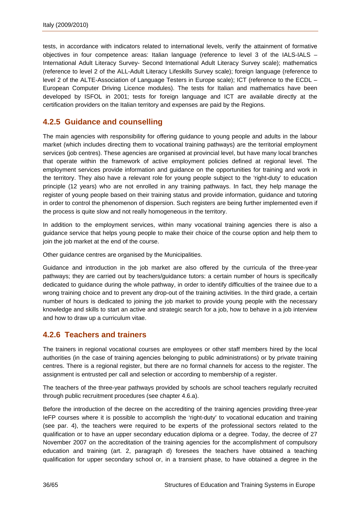<span id="page-37-0"></span>tests, in accordance with indicators related to international levels, verify the attainment of formative objectives in four competence areas: Italian language (reference to level 3 of the IALS-IALS – International Adult Literacy Survey- Second International Adult Literacy Survey scale); mathematics (reference to level 2 of the ALL-Adult Literacy Lifeskills Survey scale); foreign language (reference to level 2 of the ALTE-Association of Language Testers in Europe scale); ICT (reference to the ECDL – European Computer Driving Licence modules). The tests for Italian and mathematics have been developed by ISFOL in 2001; tests for foreign language and ICT are available directly at the certification providers on the Italian territory and expenses are paid by the Regions.

### **4.2.5 Guidance and counselling**

The main agencies with responsibility for offering guidance to young people and adults in the labour market (which includes directing them to vocational training pathways) are the territorial employment services (job centres). These agencies are organised at provincial level, but have many local branches that operate within the framework of active employment policies defined at regional level. The employment services provide information and guidance on the opportunities for training and work in the territory. They also have a relevant role for young people subject to the 'right-duty' to education principle (12 years) who are not enrolled in any training pathways. In fact, they help manage the register of young people based on their training status and provide information, guidance and tutoring in order to control the phenomenon of dispersion. Such registers are being further implemented even if the process is quite slow and not really homogeneous in the territory.

In addition to the employment services, within many vocational training agencies there is also a guidance service that helps young people to make their choice of the course option and help them to join the job market at the end of the course.

Other guidance centres are organised by the Municipalities.

Guidance and introduction in the job market are also offered by the curricula of the three-year pathways; they are carried out by teachers/guidance tutors: a certain number of hours is specifically dedicated to guidance during the whole pathway, in order to identify difficulties of the trainee due to a wrong training choice and to prevent any drop-out of the training activities. In the third grade, a certain number of hours is dedicated to joining the job market to provide young people with the necessary knowledge and skills to start an active and strategic search for a job, how to behave in a job interview and how to draw up a curriculum vitae.

### **4.2.6 Teachers and trainers**

The trainers in regional vocational courses are employees or other staff members hired by the local authorities (in the case of training agencies belonging to public administrations) or by private training centres. There is a regional register, but there are no formal channels for access to the register. The assignment is entrusted per call and selection or according to membership of a register.

The teachers of the three-year pathways provided by schools are school teachers regularly recruited through public recruitment procedures (see chapter 4.6.a).

Before the introduction of the decree on the accrediting of the training agencies providing three-year IeFP courses where it is possible to accomplish the 'right-duty' to vocational education and training (see par. 4), the teachers were required to be experts of the professional sectors related to the qualification or to have an upper secondary education diploma or a degree. Today, the decree of 27 November 2007 on the accreditation of the training agencies for the accomplishment of compulsory education and training (art. 2, paragraph d) foresees the teachers have obtained a teaching qualification for upper secondary school or, in a transient phase, to have obtained a degree in the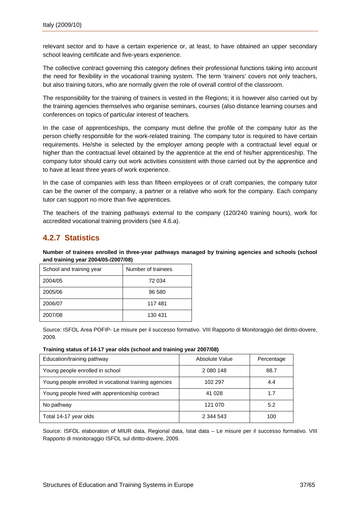<span id="page-38-0"></span>relevant sector and to have a certain experience or, at least, to have obtained an upper secondary school leaving certificate and five-years experience.

The collective contract governing this category defines their professional functions taking into account the need for flexibility in the vocational training system. The term 'trainers' covers not only teachers, but also training tutors, who are normally given the role of overall control of the classroom.

The responsibility for the training of trainers is vested in the Regions; it is however also carried out by the training agencies themselves who organise seminars, courses (also distance learning courses and conferences on topics of particular interest of teachers.

In the case of apprenticeships, the company must define the profile of the company tutor as the person chiefly responsible for the work-related training. The company tutor is required to have certain requirements. He/she is selected by the employer among people with a contractual level equal or higher than the contractual level obtained by the apprentice at the end of his/her apprenticeship. The company tutor should carry out work activities consistent with those carried out by the apprentice and to have at least three years of work experience.

In the case of companies with less than fifteen employees or of craft companies, the company tutor can be the owner of the company, a partner or a relative who work for the company. Each company tutor can support no more than five apprentices.

The teachers of the training pathways external to the company (120/240 training hours), work for accredited vocational training providers (see 4.6.a).

# **4.2.7 Statistics**

**Number of trainees enrolled in three-year pathways managed by training agencies and schools (school and training year 2004/05-/2007/08)** 

| School and training year | Number of trainees |  |
|--------------------------|--------------------|--|
| 2004/05                  | 72 034             |  |
| 2005/06                  | 96 580             |  |
| 2006/07                  | 117481             |  |
| 2007/08                  | 130 431            |  |

Source: ISFOL Area POFIP- Le misure per il successo formativo. VIII Rapporto di Monitoraggio del diritto-dovere, 2009.

#### **Training status of 14-17 year olds (school and training year 2007/08)**

| Education/training pathway                            | Absolute Value | Percentage |
|-------------------------------------------------------|----------------|------------|
| Young people enrolled in school                       | 2 080 148      | 88.7       |
| Young people enrolled in vocational training agencies | 102 297        | 4.4        |
| Young people hired with apprenticeship contract       | 41 0 28        | 1.7        |
| No pathway                                            | 121 070        | 5.2        |
| Total 14-17 year olds                                 | 2 344 543      | 100        |

Source: ISFOL elaboration of MIUR data, Regional data, Istat data – Le misure per il successo formativo. VIII Rapporto di monitoraggio ISFOL sul diritto-dovere, 2009.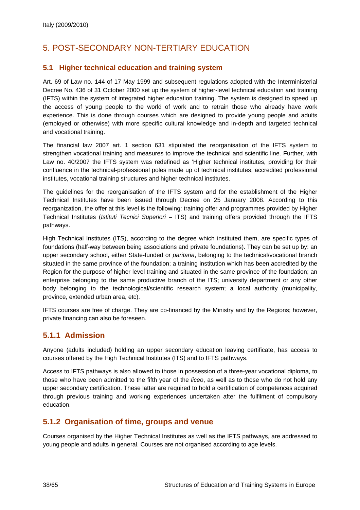# <span id="page-39-0"></span>5. POST-SECONDARY NON-TERTIARY EDUCATION

### **5.1 Higher technical education and training system**

Art. 69 of Law no. 144 of 17 May 1999 and subsequent regulations adopted with the Interministerial Decree No. 436 of 31 October 2000 set up the system of higher-level technical education and training (IFTS) within the system of integrated higher education training. The system is designed to speed up the access of young people to the world of work and to retrain those who already have work experience. This is done through courses which are designed to provide young people and adults (employed or otherwise) with more specific cultural knowledge and in-depth and targeted technical and vocational training.

The financial law 2007 art. 1 section 631 stipulated the reorganisation of the IFTS system to strengthen vocational training and measures to improve the technical and scientific line. Further, with Law no. 40/2007 the IFTS system was redefined as 'Higher technical institutes, providing for their confluence in the technical-professional poles made up of technical institutes, accredited professional institutes, vocational training structures and higher technical institutes.

The guidelines for the reorganisation of the IFTS system and for the establishment of the Higher Technical Institutes have been issued through Decree on 25 January 2008. According to this reorganization, the offer at this level is the following: training offer and programmes provided by Higher Technical Institutes (*Istituti Tecnici Superiori* – ITS) and training offers provided through the IFTS pathways.

High Technical Institutes (ITS), according to the degree which instituted them, are specific types of foundations (half-way between being associations and private foundations). They can be set up by: an upper secondary school, either State-funded or *paritaria*, belonging to the technical/vocational branch situated in the same province of the foundation; a training institution which has been accredited by the Region for the purpose of higher level training and situated in the same province of the foundation; an enterprise belonging to the same productive branch of the ITS; university department or any other body belonging to the technological/scientific research system; a local authority (municipality, province, extended urban area, etc).

IFTS courses are free of charge. They are co-financed by the Ministry and by the Regions; however, private financing can also be foreseen.

### **5.1.1 Admission**

Anyone (adults included) holding an upper secondary education leaving certificate, has access to courses offered by the High Technical Institutes (ITS) and to IFTS pathways.

Access to IFTS pathways is also allowed to those in possession of a three-year vocational diploma, to those who have been admitted to the fifth year of the *liceo*, as well as to those who do not hold any upper secondary certification. These latter are required to hold a certification of competences acquired through previous training and working experiences undertaken after the fulfilment of compulsory education.

### **5.1.2 Organisation of time, groups and venue**

Courses organised by the Higher Technical Institutes as well as the IFTS pathways, are addressed to young people and adults in general. Courses are not organised according to age levels.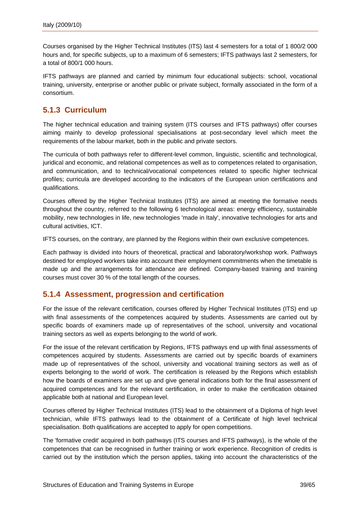<span id="page-40-0"></span>Courses organised by the Higher Technical Institutes (ITS) last 4 semesters for a total of 1 800/2 000 hours and, for specific subjects, up to a maximum of 6 semesters; IFTS pathways last 2 semesters, for a total of 800/1 000 hours.

IFTS pathways are planned and carried by minimum four educational subjects: school, vocational training, university, enterprise or another public or private subject, formally associated in the form of a consortium.

### **5.1.3 Curriculum**

The higher technical education and training system (ITS courses and IFTS pathways) offer courses aiming mainly to develop professional specialisations at post-secondary level which meet the requirements of the labour market, both in the public and private sectors.

The curricula of both pathways refer to different-level common, linguistic, scientific and technological, juridical and economic, and relational competences as well as to competences related to organisation, and communication, and to technical/vocational competences related to specific higher technical profiles; curricula are developed according to the indicators of the European union certifications and qualifications.

Courses offered by the Higher Technical Institutes (ITS) are aimed at meeting the formative needs throughout the country, referred to the following 6 technological areas: energy efficiency, sustainable mobility, new technologies in life, new technologies 'made in Italy', innovative technologies for arts and cultural activities, ICT.

IFTS courses, on the contrary, are planned by the Regions within their own exclusive competences.

Each pathway is divided into hours of theoretical, practical and laboratory/workshop work. Pathways destined for employed workers take into account their employment commitments when the timetable is made up and the arrangements for attendance are defined. Company-based training and training courses must cover 30 % of the total length of the courses.

### **5.1.4 Assessment, progression and certification**

For the issue of the relevant certification, courses offered by Higher Technical Institutes (ITS) end up with final assessments of the competences acquired by students. Assessments are carried out by specific boards of examiners made up of representatives of the school, university and vocational training sectors as well as experts belonging to the world of work.

For the issue of the relevant certification by Regions, IFTS pathways end up with final assessments of competences acquired by students. Assessments are carried out by specific boards of examiners made up of representatives of the school, university and vocational training sectors as well as of experts belonging to the world of work. The certification is released by the Regions which establish how the boards of examiners are set up and give general indications both for the final assessment of acquired competences and for the relevant certification, in order to make the certification obtained applicable both at national and European level.

Courses offered by Higher Technical Institutes (ITS) lead to the obtainment of a Diploma of high level technician, while IFTS pathways lead to the obtainment of a Certificate of high level technical specialisation. Both qualifications are accepted to apply for open competitions.

The 'formative credit' acquired in both pathways (ITS courses and IFTS pathways), is the whole of the competences that can be recognised in further training or work experience. Recognition of credits is carried out by the institution which the person applies, taking into account the characteristics of the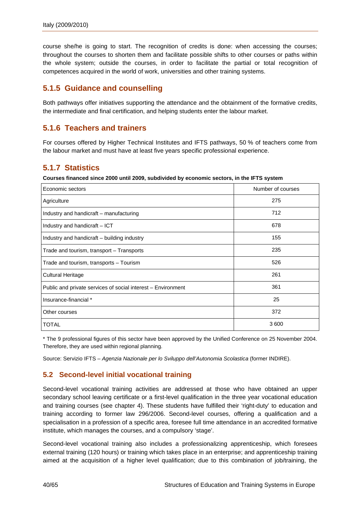<span id="page-41-0"></span>course she/he is going to start. The recognition of credits is done: when accessing the courses; throughout the courses to shorten them and facilitate possible shifts to other courses or paths within the whole system; outside the courses, in order to facilitate the partial or total recognition of competences acquired in the world of work, universities and other training systems.

### **5.1.5 Guidance and counselling**

Both pathways offer initiatives supporting the attendance and the obtainment of the formative credits, the intermediate and final certification, and helping students enter the labour market.

### **5.1.6 Teachers and trainers**

For courses offered by Higher Technical Institutes and IFTS pathways, 50 % of teachers come from the labour market and must have at least five years specific professional experience.

### **5.1.7 Statistics**

**Courses financed since 2000 until 2009, subdivided by economic sectors, in the IFTS system** 

| Economic sectors                                             | Number of courses |
|--------------------------------------------------------------|-------------------|
| Agriculture                                                  | 275               |
| Industry and handicraft – manufacturing                      | 712               |
| Industry and handicraft - ICT                                | 678               |
| Industry and handicraft – building industry                  | 155               |
| Trade and tourism, transport – Transports                    | 235               |
| Trade and tourism, transports – Tourism                      | 526               |
| <b>Cultural Heritage</b>                                     | 261               |
| Public and private services of social interest – Environment | 361               |
| Insurance-financial *                                        | 25                |
| Other courses                                                | 372               |
| <b>TOTAL</b>                                                 | 3600              |

\* The 9 professional figures of this sector have been approved by the Unified Conference on 25 November 2004. Therefore, they are used within regional planning.

Source: Servizio IFTS – *Agenzia Nazionale per lo Sviluppo dell'Autonomia Scolastica* (former INDIRE).

### **5.2 Second-level initial vocational training**

Second-level vocational training activities are addressed at those who have obtained an upper secondary school leaving certificate or a first-level qualification in the three year vocational education and training courses (see chapter 4). These students have fulfilled their 'right-duty' to education and training according to former law 296/2006. Second-level courses, offering a qualification and a specialisation in a profession of a specific area, foresee full time attendance in an accredited formative institute, which manages the courses, and a compulsory 'stage'.

Second-level vocational training also includes a professionalizing apprenticeship, which foresees external training (120 hours) or training which takes place in an enterprise; and apprenticeship training aimed at the acquisition of a higher level qualification; due to this combination of job/training, the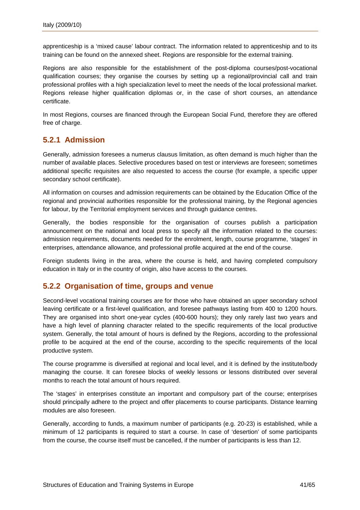<span id="page-42-0"></span>apprenticeship is a 'mixed cause' labour contract. The information related to apprenticeship and to its training can be found on the annexed sheet. Regions are responsible for the external training.

Regions are also responsible for the establishment of the post-diploma courses/post-vocational qualification courses; they organise the courses by setting up a regional/provincial call and train professional profiles with a high specialization level to meet the needs of the local professional market. Regions release higher qualification diplomas or, in the case of short courses, an attendance certificate.

In most Regions, courses are financed through the European Social Fund, therefore they are offered free of charge.

### **5.2.1 Admission**

Generally, admission foresees a numerus clausus limitation, as often demand is much higher than the number of available places. Selective procedures based on test or interviews are foreseen; sometimes additional specific requisites are also requested to access the course (for example, a specific upper secondary school certificate).

All information on courses and admission requirements can be obtained by the Education Office of the regional and provincial authorities responsible for the professional training, by the Regional agencies for labour, by the Territorial employment services and through guidance centres.

Generally, the bodies responsible for the organisation of courses publish a participation announcement on the national and local press to specify all the information related to the courses: admission requirements, documents needed for the enrolment, length, course programme, 'stages' in enterprises, attendance allowance, and professional profile acquired at the end of the course.

Foreign students living in the area, where the course is held, and having completed compulsory education in Italy or in the country of origin, also have access to the courses.

### **5.2.2 Organisation of time, groups and venue**

Second-level vocational training courses are for those who have obtained an upper secondary school leaving certificate or a first-level qualification, and foresee pathways lasting from 400 to 1200 hours. They are organised into short one-year cycles (400-600 hours); they only rarely last two years and have a high level of planning character related to the specific requirements of the local productive system. Generally, the total amount of hours is defined by the Regions, according to the professional profile to be acquired at the end of the course, according to the specific requirements of the local productive system.

The course programme is diversified at regional and local level, and it is defined by the institute/body managing the course. It can foresee blocks of weekly lessons or lessons distributed over several months to reach the total amount of hours required.

The 'stages' in enterprises constitute an important and compulsory part of the course; enterprises should principally adhere to the project and offer placements to course participants. Distance learning modules are also foreseen.

Generally, according to funds, a maximum number of participants (e.g. 20-23) is established, while a minimum of 12 participants is required to start a course. In case of 'desertion' of some participants from the course, the course itself must be cancelled, if the number of participants is less than 12.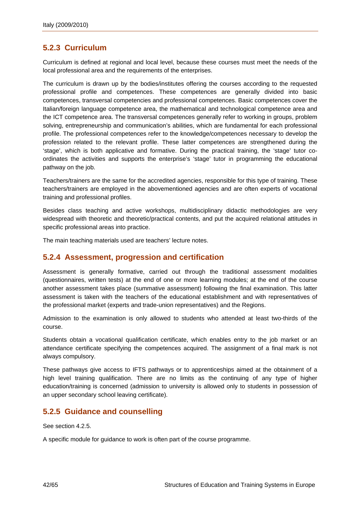### <span id="page-43-0"></span>**5.2.3 Curriculum**

Curriculum is defined at regional and local level, because these courses must meet the needs of the local professional area and the requirements of the enterprises.

The curriculum is drawn up by the bodies/institutes offering the courses according to the requested professional profile and competences. These competences are generally divided into basic competences, transversal competencies and professional competences. Basic competences cover the Italian/foreign language competence area, the mathematical and technological competence area and the ICT competence area. The transversal competences generally refer to working in groups, problem solving, entrepreneurship and communication's abilities, which are fundamental for each professional profile. The professional competences refer to the knowledge/competences necessary to develop the profession related to the relevant profile. These latter competences are strengthened during the 'stage', which is both applicative and formative. During the practical training, the 'stage' tutor coordinates the activities and supports the enterprise's 'stage' tutor in programming the educational pathway on the job.

Teachers/trainers are the same for the accredited agencies, responsible for this type of training. These teachers/trainers are employed in the abovementioned agencies and are often experts of vocational training and professional profiles.

Besides class teaching and active workshops, multidisciplinary didactic methodologies are very widespread with theoretic and theoretic/practical contents, and put the acquired relational attitudes in specific professional areas into practice.

The main teaching materials used are teachers' lecture notes.

### **5.2.4 Assessment, progression and certification**

Assessment is generally formative, carried out through the traditional assessment modalities (questionnaires, written tests) at the end of one or more learning modules; at the end of the course another assessment takes place (summative assessment) following the final examination. This latter assessment is taken with the teachers of the educational establishment and with representatives of the professional market (experts and trade-union representatives) and the Regions.

Admission to the examination is only allowed to students who attended at least two-thirds of the course.

Students obtain a vocational qualification certificate, which enables entry to the job market or an attendance certificate specifying the competences acquired. The assignment of a final mark is not always compulsory.

These pathways give access to IFTS pathways or to apprenticeships aimed at the obtainment of a high level training qualification. There are no limits as the continuing of any type of higher education/training is concerned (admission to university is allowed only to students in possession of an upper secondary school leaving certificate).

### **5.2.5 Guidance and counselling**

See section 4.2.5.

A specific module for guidance to work is often part of the course programme.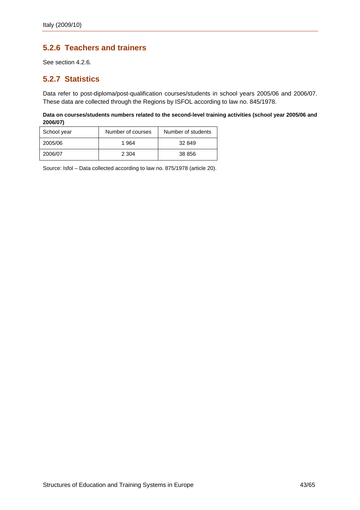### <span id="page-44-0"></span>**5.2.6 Teachers and trainers**

See section 4.2.6.

### **5.2.7 Statistics**

Data refer to post-diploma/post-qualification courses/students in school years 2005/06 and 2006/07. These data are collected through the Regions by ISFOL according to law no. 845/1978.

**Data on courses/students numbers related to the second-level training activities (school year 2005/06 and 2006/07)** 

| School year | Number of courses | Number of students |
|-------------|-------------------|--------------------|
| 2005/06     | 1.964             | 32 849             |
| 2006/07     | 2 304             | 38 856             |

Source: Isfol – Data collected according to law no. 875/1978 (article 20).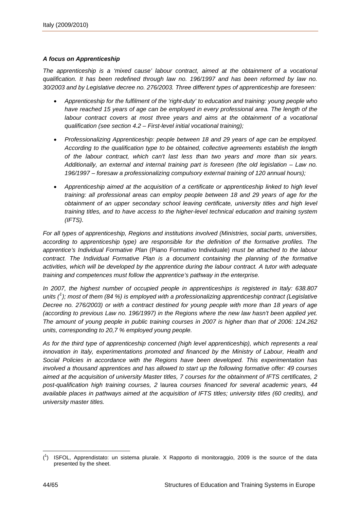#### *A focus on Apprenticeship*

*The apprenticeship is a 'mixed cause' labour contract, aimed at the obtainment of a vocational qualification. It has been redefined through law no. 196/1997 and has been reformed by law no. 30/2003 and by Legislative decree no. 276/2003. Three different types of apprenticeship are foreseen:* 

- *Apprenticeship for the fulfilment of the 'right-duty' to education and training: young people who*  have reached 15 years of age can be employed in every professional area. The length of the *labour contract covers at most three years and aims at the obtainment of a vocational qualification (see section 4.2 – First-level initial vocational training);*
- *Professionalizing Apprenticeship: people between 18 and 29 years of age can be employed. According to the qualification type to be obtained, collective agreements establish the length of the labour contract, which can't last less than two years and more than six years. Additionally, an external and internal training part is foreseen (the old legislation – Law no. 196/1997 – foresaw a professionalizing compulsory external training of 120 annual hours);*
- *Apprenticeship aimed at the acquisition of a certificate or apprenticeship linked to high level training: all professional areas can employ people between 18 and 29 years of age for the obtainment of an upper secondary school leaving certificate, university titles and high level training titles, and to have access to the higher-level technical education and training system (IFTS).*

*For all types of apprenticeship, Regions and institutions involved (Ministries, social parts, universities, according to apprenticeship type) are responsible for the definition of the formative profiles. The apprentice's Individual Formative Plan* (Piano Formativo Individuale) *must be attached to the labour contract. The Individual Formative Plan is a document containing the planning of the formative activities, which will be developed by the apprentice during the labour contract. A tutor with adequate training and competences must follow the apprentice's pathway in the enterprise.* 

*In 2007, the highest number of occupied people in apprenticeships is registered in Italy: 638.807 units ([1](#page-45-0) ); most of them (84 %) is employed with a professionalizing apprenticeship contract (Legislative Decree no. 276/2003) or with a contract destined for young people with more than 18 years of age (according to previous Law no. 196/1997) in the Regions where the new law hasn't been applied yet. The amount of young people in public training courses in 2007 is higher than that of 2006: 124.262 units, corresponding to 20,7 % employed young people.* 

As for the third type of apprenticeship concerned (high level apprenticeship), which represents a real *innovation in Italy, experimentations promoted and financed by the Ministry of Labour, Health and Social Policies in accordance with the Regions have been developed. This experimentation has involved a thousand apprentices and has allowed to start up the following formative offer: 49 courses aimed at the acquisition of university Master titles, 7 courses for the obtainment of IFTS certificates, 2 post-qualification high training courses, 2* laurea *courses financed for several academic years, 44 available places in pathways aimed at the acquisition of IFTS titles; university titles (60 credits), and university master titles.*

<span id="page-45-0"></span> $\overline{a}$ ( 1 ) ISFOL, Apprendistato: un sistema plurale. X Rapporto di monitoraggio, 2009 is the source of the data presented by the sheet.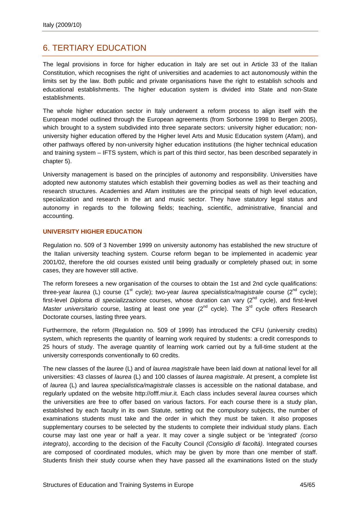# <span id="page-46-0"></span>6. TERTIARY EDUCATION

The legal provisions in force for higher education in Italy are set out in Article 33 of the Italian Constitution, which recognises the right of universities and academies to act autonomously within the limits set by the law. Both public and private organisations have the right to establish schools and educational establishments. The higher education system is divided into State and non-State establishments.

The whole higher education sector in Italy underwent a reform process to align itself with the European model outlined through the European agreements (from Sorbonne 1998 to Bergen 2005), which brought to a system subdivided into three separate sectors: university higher education; nonuniversity higher education offered by the Higher level Arts and Music Education system (Afam), and other pathways offered by non-university higher education institutions (the higher technical education and training system – IFTS system, which is part of this third sector, has been described separately in chapter 5).

University management is based on the principles of autonomy and responsibility. Universities have adopted new autonomy statutes which establish their governing bodies as well as their teaching and research structures. Academies and Afam institutes are the principal seats of high level education, specialization and research in the art and music sector. They have statutory legal status and autonomy in regards to the following fields; teaching, scientific, administrative, financial and accounting.

#### **UNIVERSITY HIGHER EDUCATION**

Regulation no. 509 of 3 November 1999 on university autonomy has established the new structure of the Italian university teaching system. Course reform began to be implemented in academic year 2001/02, therefore the old courses existed until being gradually or completely phased out; in some cases, they are however still active.

The reform foresees a new organisation of the courses to obtain the 1st and 2nd cycle qualifications: three-year *laurea* (L) course (1<sup>st</sup> cycle); two-year *laurea specialistica/magistrale* course (2<sup>nd</sup> cycle); first-level *Diploma di specializzazione* courses, whose duration can vary (2nd cycle), and first-level *Master universitario* course, lasting at least one year (2<sup>nd</sup> cycle). The 3<sup>rd</sup> cycle offers Research Doctorate courses, lasting three years.

Furthermore, the reform (Regulation no. 509 of 1999) has introduced the CFU (university credits) system, which represents the quantity of learning work required by students: a credit corresponds to 25 hours of study. The average quantity of learning work carried out by a full-time student at the university corresponds conventionally to 60 credits.

The new classes of the *lauree* (L) and of *laurea magistrale* have been laid down at national level for all universities: 43 classes of *laurea* (L) and 100 classes of *laurea magistrale*. At present, a complete list of *laurea* (L) and l*aurea specialistica/magistrale* classes is accessible on the national database, and regularly updated on the website [http://offf.miur.it](http://offf.miur.it/). Each class includes several *laurea* courses which the universities are free to offer based on various factors. For each course there is a study plan, established by each faculty in its own Statute, setting out the compulsory subjects, the number of examinations students must take and the order in which they must be taken. It also proposes supplementary courses to be selected by the students to complete their individual study plans. Each course may last one year or half a year. It may cover a single subject or be 'integrated' *(corso integrato)*, according to the decision of the Faculty Council *(Consiglio di facoltá)*. Integrated courses are composed of coordinated modules, which may be given by more than one member of staff. Students finish their study course when they have passed all the examinations listed on the study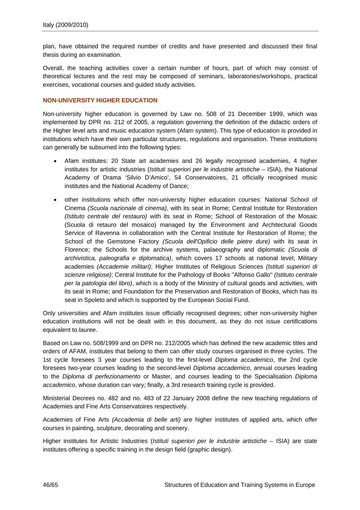plan, have obtained the required number of credits and have presented and discussed their final thesis during an examination.

Overall, the teaching activities cover a certain number of hours, part of which may consist of theoretical lectures and the rest may be composed of seminars, laboratories/workshops, practical exercises, vocational courses and guided study activities.

#### **NON-UNIVERSITY HIGHER EDUCATION**

Non-university higher education is governed by Law no. 508 of 21 December 1999, which was implemented by DPR no. 212 of 2005, a regulation governing the definition of the didactic orders of the Higher level arts and music education system (Afam system). This type of education is provided in institutions which have their own particular structures, regulations and organisation. These institutions can generally be subsumed into the following types:

- Afam institutes: 20 State art academies and 26 legally recognised academies, 4 higher institutes for artistic industries (*Istituti superiori per le industrie artistiche* – ISIA), the National Academy of Drama 'Silvio D'Amico', 54 Conservatoires, 21 officially recognised music institutes and the National Academy of Dance;
- other institutions which offer non-university higher education courses: National School of Cinema *(Scuola nazionale di cinema)*, with its seat in Rome; Central Institute for Restoration *(Istituto centrale del restauro)* with its seat in Rome; School of Restoration of the Mosaic (Scuola di retauro del mosaico) managed by the Environment and Architectural Goods Service of Ravenna in collaboration with the Central Institute for Restoration of Rome; the School of the Gemstone Factory *(Scuola dell'Opificio delle pietre dure)* with its seat in Florence; the Schools for the archive systems, palaeography and diplomatic *(Scuola di archivistica, paleografia e diplomatica)*, which covers 17 schools at national level; Military academies *(Accademie militari)*; Higher Institutes of Religious Sciences *(Istituti superiori di scienze religiose)*; Central Institute for the Pathology of Books ''Alfonso Gallo'' *(Istituto centrale per la patologia del libro)*, which is a body of the Ministry of cultural goods and activities, with its seat in Rome; and Foundation for the Preservation and Restoration of Books, which has its seat in Spoleto and which is supported by the European Social Fund.

Only universities and Afam institutes issue officially recognised degrees; other non-university higher education institutions will not be dealt with in this document, as they do not issue certifications equivalent to *lauree*.

Based on Law no. 508/1999 and on DPR no. 212/2005 which has defined the new academic titles and orders of AFAM, institutes that belong to them can offer study courses organised in three cycles. The 1st cycle foresees 3 year courses leading to the first-level *Diploma accademico*, the 2nd cycle foresees two-year courses leading to the second-level *Diploma accademico*, annual courses leading to the *Diploma di perfezionamento* or Master, and courses leading to the Specialisation *Diploma accademico*, whose duration can vary; finally, a 3rd research training cycle is provided.

Ministerial Decrees no. 482 and no. 483 of 22 January 2008 define the new teaching regulations of Academies and Fine Arts Conservatoires respectively.

Academies of Fine Arts *(Accademia di belle arti)* are higher institutes of applied arts, which offer courses in painting, sculpture, decorating and scenery.

Higher institutes for Artistic Industries (*Istituti superiori per le industrie artistiche* – ISIA) are state institutes offering a specific training in the design field (graphic design).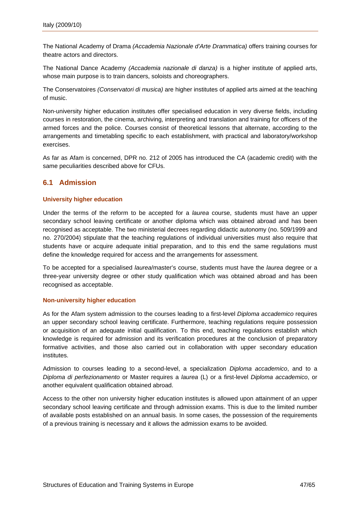<span id="page-48-0"></span>The National Academy of Drama *(Accademia Nazionale d'Arte Drammatica)* offers training courses for theatre actors and directors.

The National Dance Academy *(Accademia nazionale di danza)* is a higher institute of applied arts, whose main purpose is to train dancers, soloists and choreographers.

The Conservatoires *(Conservatori di musica)* are higher institutes of applied arts aimed at the teaching of music.

Non-university higher education institutes offer specialised education in very diverse fields, including courses in restoration, the cinema, archiving, interpreting and translation and training for officers of the armed forces and the police. Courses consist of theoretical lessons that alternate, according to the arrangements and timetabling specific to each establishment, with practical and laboratory/workshop exercises.

As far as Afam is concerned, DPR no. 212 of 2005 has introduced the CA (academic credit) with the same peculiarities described above for CFUs.

### **6.1 Admission**

#### **University higher education**

Under the terms of the reform to be accepted for a *laurea* course, students must have an upper secondary school leaving certificate or another diploma which was obtained abroad and has been recognised as acceptable. The two ministerial decrees regarding didactic autonomy (no. 509/1999 and no. 270/2004) stipulate that the teaching regulations of individual universities must also require that students have or acquire adequate initial preparation, and to this end the same regulations must define the knowledge required for access and the arrangements for assessment.

To be accepted for a specialised *laurea*/master's course, students must have the *laurea* degree or a three-year university degree or other study qualification which was obtained abroad and has been recognised as acceptable.

#### **Non-university higher education**

As for the Afam system admission to the courses leading to a first-level *Diploma accademico* requires an upper secondary school leaving certificate. Furthermore, teaching regulations require possession or acquisition of an adequate initial qualification. To this end, teaching regulations establish which knowledge is required for admission and its verification procedures at the conclusion of preparatory formative activities, and those also carried out in collaboration with upper secondary education institutes.

Admission to courses leading to a second-level, a specialization *Diploma accademico*, and to a *Diploma di perfezionamento* or Master requires a *laurea* (L) or a first-level *Diploma accademico*, or another equivalent qualification obtained abroad.

Access to the other non university higher education institutes is allowed upon attainment of an upper secondary school leaving certificate and through admission exams. This is due to the limited number of available posts established on an annual basis. In some cases, the possession of the requirements of a previous training is necessary and it allows the admission exams to be avoided.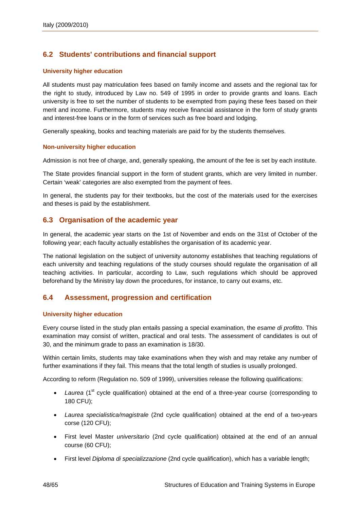### <span id="page-49-0"></span>**6.2 Students' contributions and financial support**

#### **University higher education**

All students must pay matriculation fees based on family income and assets and the regional tax for the right to study, introduced by Law no. 549 of 1995 in order to provide grants and loans. Each university is free to set the number of students to be exempted from paying these fees based on their merit and income. Furthermore, students may receive financial assistance in the form of study grants and interest-free loans or in the form of services such as free board and lodging.

Generally speaking, books and teaching materials are paid for by the students themselves.

#### **Non-university higher education**

Admission is not free of charge, and, generally speaking, the amount of the fee is set by each institute.

The State provides financial support in the form of student grants, which are very limited in number. Certain 'weak' categories are also exempted from the payment of fees.

In general, the students pay for their textbooks, but the cost of the materials used for the exercises and theses is paid by the establishment.

#### **6.3 Organisation of the academic year**

In general, the academic year starts on the 1st of November and ends on the 31st of October of the following year; each faculty actually establishes the organisation of its academic year.

The national legislation on the subject of university autonomy establishes that teaching regulations of each university and teaching regulations of the study courses should regulate the organisation of all teaching activities. In particular, according to Law, such regulations which should be approved beforehand by the Ministry lay down the procedures, for instance, to carry out exams, etc.

#### **6.4 Assessment, progression and certification**

#### **University higher education**

Every course listed in the study plan entails passing a special examination, the *esame di profitto*. This examination may consist of written, practical and oral tests. The assessment of candidates is out of 30, and the minimum grade to pass an examination is 18/30.

Within certain limits, students may take examinations when they wish and may retake any number of further examinations if they fail. This means that the total length of studies is usually prolonged.

According to reform (Regulation no. 509 of 1999), universities release the following qualifications:

- Laurea (1<sup>st</sup> cycle qualification) obtained at the end of a three-year course (corresponding to 180 CFU);
- *Laurea specialistica/magistrale* (2nd cycle qualification) obtained at the end of a two-years corse (120 CFU);
- First level Master *universitario* (2nd cycle qualification) obtained at the end of an annual course (60 CFU);
- First level *Diploma di specializzazione* (2nd cycle qualification), which has a variable length;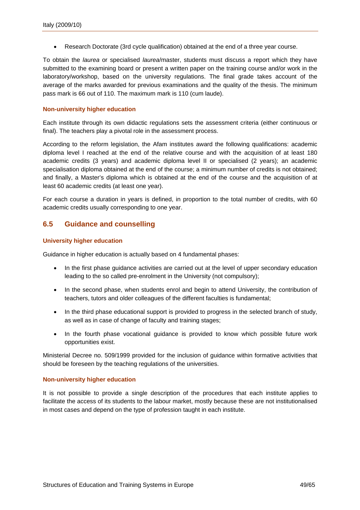<span id="page-50-0"></span>• Research Doctorate (3rd cycle qualification) obtained at the end of a three year course.

To obtain the *laurea* or specialised *laurea*/master, students must discuss a report which they have submitted to the examining board or present a written paper on the training course and/or work in the laboratory/workshop, based on the university regulations. The final grade takes account of the average of the marks awarded for previous examinations and the quality of the thesis. The minimum pass mark is 66 out of 110. The maximum mark is 110 (cum laude).

#### **Non-university higher education**

Each institute through its own didactic regulations sets the assessment criteria (either continuous or final). The teachers play a pivotal role in the assessment process.

According to the reform legislation, the Afam institutes award the following qualifications: academic diploma level I reached at the end of the relative course and with the acquisition of at least 180 academic credits (3 years) and academic diploma level II or specialised (2 years); an academic specialisation diploma obtained at the end of the course; a minimum number of credits is not obtained; and finally, a Master's diploma which is obtained at the end of the course and the acquisition of at least 60 academic credits (at least one year).

For each course a duration in years is defined, in proportion to the total number of credits, with 60 academic credits usually corresponding to one year.

### **6.5 Guidance and counselling**

#### **University higher education**

Guidance in higher education is actually based on 4 fundamental phases:

- In the first phase guidance activities are carried out at the level of upper secondary education leading to the so called pre-enrolment in the University (not compulsory);
- In the second phase, when students enrol and begin to attend University, the contribution of teachers, tutors and older colleagues of the different faculties is fundamental;
- In the third phase educational support is provided to progress in the selected branch of study, as well as in case of change of faculty and training stages;
- In the fourth phase vocational guidance is provided to know which possible future work opportunities exist.

Ministerial Decree no. 509/1999 provided for the inclusion of guidance within formative activities that should be foreseen by the teaching regulations of the universities.

#### **Non-university higher education**

It is not possible to provide a single description of the procedures that each institute applies to facilitate the access of its students to the labour market, mostly because these are not institutionalised in most cases and depend on the type of profession taught in each institute.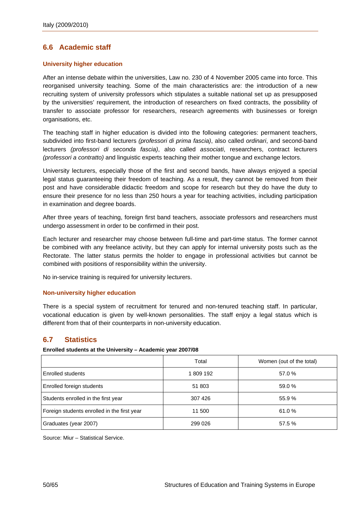### <span id="page-51-0"></span>**6.6 Academic staff**

#### **University higher education**

After an intense debate within the universities, Law no. 230 of 4 November 2005 came into force. This reorganised university teaching. Some of the main characteristics are: the introduction of a new recruiting system of university professors which stipulates a suitable national set up as presupposed by the universities' requirement, the introduction of researchers on fixed contracts, the possibility of transfer to associate professor for researchers, research agreements with businesses or foreign organisations, etc.

The teaching staff in higher education is divided into the following categories: permanent teachers, subdivided into first-band lecturers *(professori di prima fascia)*, also called *ordinari*, and second-band lecturers *(professori di seconda fascia)*, also called *associati*, researchers, contract lecturers *(professori a contratto)* and linguistic experts teaching their mother tongue and exchange lectors.

University lecturers, especially those of the first and second bands, have always enjoyed a special legal status guaranteeing their freedom of teaching. As a result, they cannot be removed from their post and have considerable didactic freedom and scope for research but they do have the duty to ensure their presence for no less than 250 hours a year for teaching activities, including participation in examination and degree boards.

After three years of teaching, foreign first band teachers, associate professors and researchers must undergo assessment in order to be confirmed in their post.

Each lecturer and researcher may choose between full-time and part-time status. The former cannot be combined with any freelance activity, but they can apply for internal university posts such as the Rectorate. The latter status permits the holder to engage in professional activities but cannot be combined with positions of responsibility within the university.

No in-service training is required for university lecturers.

#### **Non-university higher education**

There is a special system of recruitment for tenured and non-tenured teaching staff. In particular, vocational education is given by well-known personalities. The staff enjoy a legal status which is different from that of their counterparts in non-university education.

#### **6.7 Statistics**

**Enrolled students at the University – Academic year 2007/08** 

|                                             | Total    | Women (out of the total) |
|---------------------------------------------|----------|--------------------------|
| Enrolled students                           | 1809 192 | 57.0 %                   |
| <b>Enrolled foreign students</b>            | 51 803   | 59.0 %                   |
| Students enrolled in the first year         | 307 426  | 55.9%                    |
| Foreign students enrolled in the first year | 11 500   | 61.0%                    |
| Graduates (year 2007)                       | 299 026  | 57.5 %                   |

Source: Miur – Statistical Service.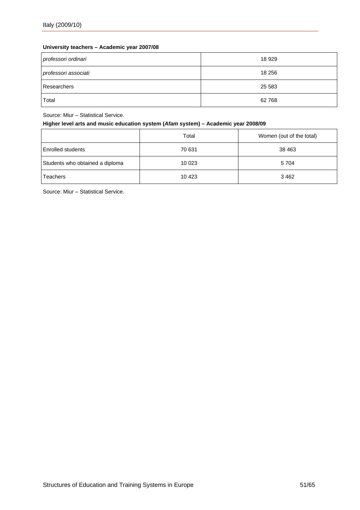### **University teachers – Academic year 2007/08**

| professori ordinari  | 18 9 29 |
|----------------------|---------|
| professori associati | 18 256  |
| Researchers          | 25 583  |
| Total                | 62768   |

Source: Miur – Statistical Service.

#### **Higher level arts and music education system (***Afam* **system) – Academic year 2008/09**

|                                 | Total   | Women (out of the total) |
|---------------------------------|---------|--------------------------|
| <b>Enrolled students</b>        | 70 631  | 38 4 63                  |
| Students who obtained a diploma | 10 023  | 5 7 0 4                  |
| Teachers                        | 10 4 23 | 3462                     |

Source: Miur – Statistical Service.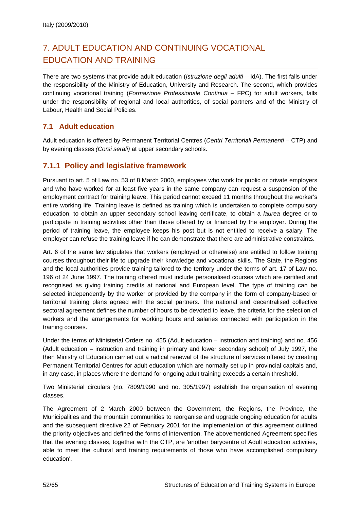# <span id="page-53-0"></span>7. ADULT EDUCATION AND CONTINUING VOCATIONAL EDUCATION AND TRAINING

There are two systems that provide adult education (*Istruzione degli adulti –* IdA). The first falls under the responsibility of the Ministry of Education, University and Research. The second, which provides continuing vocational training (*Formazione Professionale Continua* – FPC) for adult workers, falls under the responsibility of regional and local authorities, of social partners and of the Ministry of Labour, Health and Social Policies.

### **7.1 Adult education**

Adult education is offered by Permanent Territorial Centres (*Centri Territoriali Permanenti* – CTP) and by evening classes *(Corsi serali)* at upper secondary schools.

### **7.1.1 Policy and legislative framework**

Pursuant to art. 5 of Law no. 53 of 8 March 2000, employees who work for public or private employers and who have worked for at least five years in the same company can request a suspension of the employment contract for training leave. This period cannot exceed 11 months throughout the worker's entire working life. Training leave is defined as training which is undertaken to complete compulsory education, to obtain an upper secondary school leaving certificate, to obtain a *laurea* degree or to participate in training activities other than those offered by or financed by the employer. During the period of training leave, the employee keeps his post but is not entitled to receive a salary. The employer can refuse the training leave if he can demonstrate that there are administrative constraints.

Art. 6 of the same law stipulates that workers (employed or otherwise) are entitled to follow training courses throughout their life to upgrade their knowledge and vocational skills. The State, the Regions and the local authorities provide training tailored to the territory under the terms of art. 17 of Law no. 196 of 24 June 1997. The training offered must include personalised courses which are certified and recognised as giving training credits at national and European level. The type of training can be selected independently by the worker or provided by the company in the form of company-based or territorial training plans agreed with the social partners. The national and decentralised collective sectoral agreement defines the number of hours to be devoted to leave, the criteria for the selection of workers and the arrangements for working hours and salaries connected with participation in the training courses.

Under the terms of Ministerial Orders no. 455 (Adult education – instruction and training) and no. 456 (Adult education – instruction and training in primary and lower secondary school) of July 1997, the then Ministry of Education carried out a radical renewal of the structure of services offered by creating Permanent Territorial Centres for adult education which are normally set up in provincial capitals and, in any case, in places where the demand for ongoing adult training exceeds a certain threshold.

Two Ministerial circulars (no. 7809/1990 and no. 305/1997) establish the organisation of evening classes.

The Agreement of 2 March 2000 between the Government, the Regions, the Province, the Municipalities and the mountain communities to reorganise and upgrade ongoing education for adults and the subsequent directive 22 of February 2001 for the implementation of this agreement outlined the priority objectives and defined the forms of intervention. The abovementioned Agreement specifies that the evening classes, together with the CTP, are 'another barycentre of Adult education activities, able to meet the cultural and training requirements of those who have accomplished compulsory education'.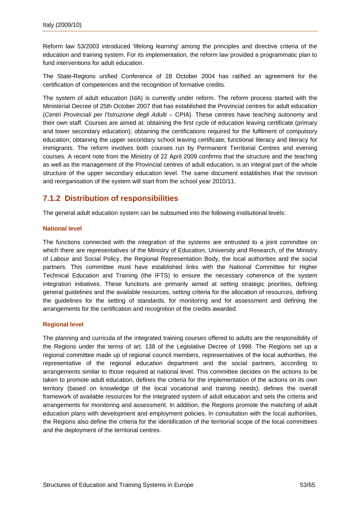<span id="page-54-0"></span>Reform law 53/2003 introduced 'lifelong learning' among the principles and directive criteria of the education and training system. For its implementation, the reform law provided a programmatic plan to fund interventions for adult education.

The State-Regions unified Conference of 28 October 2004 has ratified an agreement for the certification of competences and the recognition of formative credits.

The system of adult education (IdA) is currently under reform. The reform process started with the Ministerial Decree of 25th October 2007 that has established the Provincial centres for adult education (*Centri Provinciali per l'Istruzione degli Adulti* – CPIA). These centres have teaching autonomy and their own staff. Courses are aimed at: obtaining the first cycle of education leaving certificate (primary and lower secondary education); obtaining the certifications required for the fulfilment of compulsory education; obtaining the upper secondary school leaving certificate; functional literacy and literacy for immigrants. The reform involves both courses run by Permanent Territorial Centres and evening courses. A recent note from the Ministry of 22 April 2009 confirms that the structure and the teaching as well as the management of the Provincial centres of adult education, is an integral part of the whole structure of the upper secondary education level. The same document establishes that the revision and reorganisation of the system will start from the school year 2010/11.

### **7.1.2 Distribution of responsibilities**

The general adult education system can be subsumed into the following institutional levels:

#### **National level**

The functions connected with the integration of the systems are entrusted to a joint committee on which there are representatives of the Ministry of Education, University and Research, of the Ministry of Labour and Social Policy, the Regional Representation Body, the local authorities and the social partners. This committee must have established links with the National Committee for Higher Technical Education and Training (the IFTS) to ensure the necessary coherence of the system integration initiatives. These functions are primarily aimed at setting strategic priorities, defining general guidelines and the available resources, setting criteria for the allocation of resources, defining the guidelines for the setting of standards, for monitoring and for assessment and defining the arrangements for the certification and recognition of the credits awarded.

#### **Regional level**

The planning and curricula of the integrated training courses offered to adults are the responsibility of the Regions under the terms of art. 138 of the Legislative Decree of 1998. The Regions set up a regional committee made up of regional council members, representatives of the local authorities, the representative of the regional education department and the social partners, according to arrangements similar to those required at national level. This committee decides on the actions to be taken to promote adult education, defines the criteria for the implementation of the actions on its own territory (based on knowledge of the local vocational and training needs), defines the overall framework of available resources for the integrated system of adult education and sets the criteria and arrangements for monitoring and assessment. In addition, the Regions promote the matching of adult education plans with development and employment policies. In consultation with the local authorities, the Regions also define the criteria for the identification of the territorial scope of the local committees and the deployment of the territorial centres.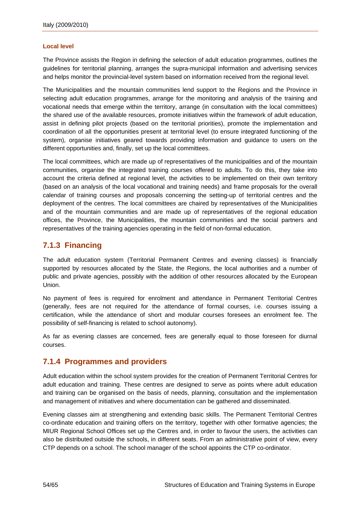#### <span id="page-55-0"></span>**Local level**

The Province assists the Region in defining the selection of adult education programmes, outlines the guidelines for territorial planning, arranges the supra-municipal information and advertising services and helps monitor the provincial-level system based on information received from the regional level.

The Municipalities and the mountain communities lend support to the Regions and the Province in selecting adult education programmes, arrange for the monitoring and analysis of the training and vocational needs that emerge within the territory, arrange (in consultation with the local committees) the shared use of the available resources, promote initiatives within the framework of adult education, assist in defining pilot projects (based on the territorial priorities), promote the implementation and coordination of all the opportunities present at territorial level (to ensure integrated functioning of the system), organise initiatives geared towards providing information and guidance to users on the different opportunities and, finally, set up the local committees.

The local committees, which are made up of representatives of the municipalities and of the mountain communities, organise the integrated training courses offered to adults. To do this, they take into account the criteria defined at regional level, the activities to be implemented on their own territory (based on an analysis of the local vocational and training needs) and frame proposals for the overall calendar of training courses and proposals concerning the setting-up of territorial centres and the deployment of the centres. The local committees are chaired by representatives of the Municipalities and of the mountain communities and are made up of representatives of the regional education offices, the Province, the Municipalities, the mountain communities and the social partners and representatives of the training agencies operating in the field of non-formal education.

### **7.1.3 Financing**

The adult education system (Territorial Permanent Centres and evening classes) is financially supported by resources allocated by the State, the Regions, the local authorities and a number of public and private agencies, possibly with the addition of other resources allocated by the European Union.

No payment of fees is required for enrolment and attendance in Permanent Territorial Centres (generally, fees are not required for the attendance of formal courses, i.e. courses issuing a certification, while the attendance of short and modular courses foresees an enrolment fee. The possibility of self-financing is related to school autonomy).

As far as evening classes are concerned, fees are generally equal to those foreseen for diurnal courses.

### **7.1.4 Programmes and providers**

Adult education within the school system provides for the creation of Permanent Territorial Centres for adult education and training. These centres are designed to serve as points where adult education and training can be organised on the basis of needs, planning, consultation and the implementation and management of initiatives and where documentation can be gathered and disseminated.

Evening classes aim at strengthening and extending basic skills. The Permanent Territorial Centres co-ordinate education and training offers on the territory, together with other formative agencies; the MIUR Regional School Offices set up the Centres and, in order to favour the users, the activities can also be distributed outside the schools, in different seats. From an administrative point of view, every CTP depends on a school. The school manager of the school appoints the CTP co-ordinator.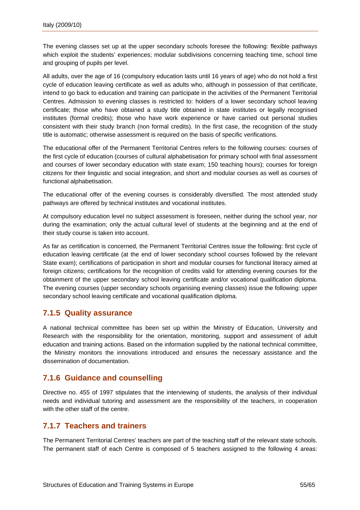<span id="page-56-0"></span>The evening classes set up at the upper secondary schools foresee the following: flexible pathways which exploit the students' experiences; modular subdivisions concerning teaching time, school time and grouping of pupils per level.

All adults, over the age of 16 (compulsory education lasts until 16 years of age) who do not hold a first cycle of education leaving certificate as well as adults who, although in possession of that certificate, intend to go back to education and training can participate in the activities of the Permanent Territorial Centres. Admission to evening classes is restricted to: holders of a lower secondary school leaving certificate; those who have obtained a study title obtained in state institutes or legally recognised institutes (formal credits); those who have work experience or have carried out personal studies consistent with their study branch (non formal credits). In the first case, the recognition of the study title is automatic; otherwise assessment is required on the basis of specific verifications.

The educational offer of the Permanent Territorial Centres refers to the following courses: courses of the first cycle of education (courses of cultural alphabetisation for primary school with final assessment and courses of lower secondary education with state exam; 150 teaching hours); courses for foreign citizens for their linguistic and social integration, and short and modular courses as well as courses of functional alphabetisation.

The educational offer of the evening courses is considerably diversified. The most attended study pathways are offered by technical institutes and vocational institutes.

At compulsory education level no subject assessment is foreseen, neither during the school year, nor during the examination; only the actual cultural level of students at the beginning and at the end of their study course is taken into account.

As far as certification is concerned, the Permanent Territorial Centres issue the following: first cycle of education leaving certificate (at the end of lower secondary school courses followed by the relevant State exam); certifications of participation in short and modular courses for functional literacy aimed at foreign citizens; certifications for the recognition of credits valid for attending evening courses for the obtainment of the upper secondary school leaving certificate and/or vocational qualification diploma. The evening courses (upper secondary schools organising evening classes) issue the following: upper secondary school leaving certificate and vocational qualification diploma.

### **7.1.5 Quality assurance**

A national technical committee has been set up within the Ministry of Education, University and Research with the responsibility for the orientation, monitoring, support and assessment of adult education and training actions. Based on the information supplied by the national technical committee, the Ministry monitors the innovations introduced and ensures the necessary assistance and the dissemination of documentation.

### **7.1.6 Guidance and counselling**

Directive no. 455 of 1997 stipulates that the interviewing of students, the analysis of their individual needs and individual tutoring and assessment are the responsibility of the teachers, in cooperation with the other staff of the centre.

### **7.1.7 Teachers and trainers**

The Permanent Territorial Centres' teachers are part of the teaching staff of the relevant state schools. The permanent staff of each Centre is composed of 5 teachers assigned to the following 4 areas: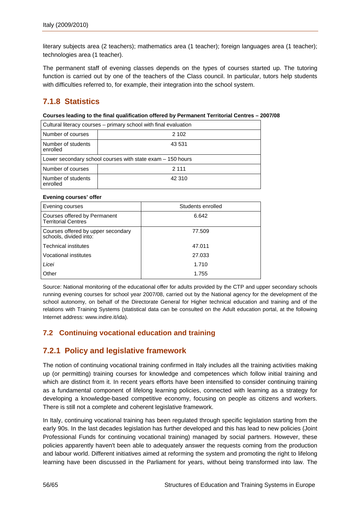<span id="page-57-0"></span>literary subjects area (2 teachers); mathematics area (1 teacher); foreign languages area (1 teacher); technologies area (1 teacher).

The permanent staff of evening classes depends on the types of courses started up. The tutoring function is carried out by one of the teachers of the Class council. In particular, tutors help students with difficulties referred to, for example, their integration into the school system.

### **7.1.8 Statistics**

#### **Courses leading to the final qualification offered by Permanent Territorial Centres – 2007/08**

| Cultural literacy courses - primary school with final evaluation |         |  |  |
|------------------------------------------------------------------|---------|--|--|
| Number of courses                                                | 2 102   |  |  |
| Number of students<br>enrolled                                   | 43 531  |  |  |
| Lower secondary school courses with state $exam - 150$ hours     |         |  |  |
| Number of courses                                                | 2 1 1 1 |  |  |
| Number of students<br>enrolled                                   | 42 310  |  |  |

#### **Evening courses' offer**

| Evening courses                                              | Students enrolled |
|--------------------------------------------------------------|-------------------|
| Courses offered by Permanent<br><b>Territorial Centres</b>   | 6.642             |
| Courses offered by upper secondary<br>schools, divided into: | 77.509            |
| <b>Technical institutes</b>                                  | 47.011            |
| <b>Vocational institutes</b>                                 | 27.033            |
| Licei                                                        | 1.710             |
| Other                                                        | 1.755             |

Source: National monitoring of the educational offer for adults provided by the CTP and upper secondary schools running evening courses for school year 2007/08, carried out by the National agency for the development of the school autonomy, on behalf of the Directorate General for Higher technical education and training and of the relations with Training Systems (statistical data can be consulted on the Adult education portal, at the following Internet address: [www.indire.it/ida](http://www.indire.it/ida)).

### **7.2 Continuing vocational education and training**

### **7.2.1 Policy and legislative framework**

The notion of continuing vocational training confirmed in Italy includes all the training activities making up (or permitting) training courses for knowledge and competences which follow initial training and which are distinct from it. In recent years efforts have been intensified to consider continuing training as a fundamental component of lifelong learning policies, connected with learning as a strategy for developing a knowledge-based competitive economy, focusing on people as citizens and workers. There is still not a complete and coherent legislative framework.

In Italy, continuing vocational training has been regulated through specific legislation starting from the early 90s. In the last decades legislation has further developed and this has lead to new policies (Joint Professional Funds for continuing vocational training) managed by social partners. However, these policies apparently haven't been able to adequately answer the requests coming from the production and labour world. Different initiatives aimed at reforming the system and promoting the right to lifelong learning have been discussed in the Parliament for years, without being transformed into law. The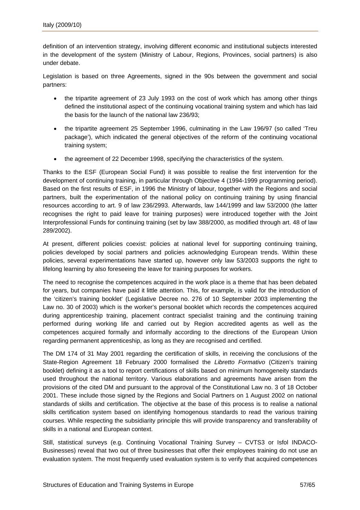definition of an intervention strategy, involving different economic and institutional subjects interested in the development of the system (Ministry of Labour, Regions, Provinces, social partners) is also under debate.

Legislation is based on three Agreements, signed in the 90s between the government and social partners:

- the tripartite agreement of 23 July 1993 on the cost of work which has among other things defined the institutional aspect of the continuing vocational training system and which has laid the basis for the launch of the national law 236/93;
- the tripartite agreement 25 September 1996, culminating in the Law 196/97 (so called 'Treu package'), which indicated the general objectives of the reform of the continuing vocational training system;
- the agreement of 22 December 1998, specifying the characteristics of the system.

Thanks to the ESF (European Social Fund) it was possible to realise the first intervention for the development of continuing training, in particular through Objective 4 (1994-1999 programming period). Based on the first results of ESF, in 1996 the Ministry of labour, together with the Regions and social partners, built the experimentation of the national policy on continuing training by using financial resources according to art. 9 of law 236/2993. Afterwards, law 144/1999 and law 53/2000 (the latter recognises the right to paid leave for training purposes) were introduced together with the Joint Interprofessional Funds for continuing training (set by law 388/2000, as modified through art. 48 of law 289/2002).

At present, different policies coexist: policies at national level for supporting continuing training, policies developed by social partners and policies acknowledging European trends. Within these policies, several experimentations have started up, however only law 53/2003 supports the right to lifelong learning by also foreseeing the leave for training purposes for workers.

The need to recognise the competences acquired in the work place is a theme that has been debated for years, but companies have paid it little attention. This, for example, is valid for the introduction of the 'citizen's training booklet' (Legislative Decree no. 276 of 10 September 2003 implementing the Law no. 30 of 2003) which is the worker's personal booklet which records the competences acquired during apprenticeship training, placement contract specialist training and the continuing training performed during working life and carried out by Region accredited agents as well as the competences acquired formally and informally according to the directions of the European Union regarding permanent apprenticeship, as long as they are recognised and certified.

The DM 174 of 31 May 2001 regarding the certification of skills, in receiving the conclusions of the State-Region Agreement 18 February 2000 formalised the *Libretto Formativo* (Citizen's training booklet) defining it as a tool to report certifications of skills based on minimum homogeneity standards used throughout the national territory. Various elaborations and agreements have arisen from the provisions of the cited DM and pursuant to the approval of the Constitutional Law no. 3 of 18 October 2001. These include those signed by the Regions and Social Partners on 1 August 2002 on national standards of skills and certification. The objective at the base of this process is to realise a national skills certification system based on identifying homogenous standards to read the various training courses. While respecting the subsidiarity principle this will provide transparency and transferability of skills in a national and European context.

Still, statistical surveys (e.g. Continuing Vocational Training Survey – CVTS3 or Isfol INDACO-Businesses) reveal that two out of three businesses that offer their employees training do not use an evaluation system. The most frequently used evaluation system is to verify that acquired competences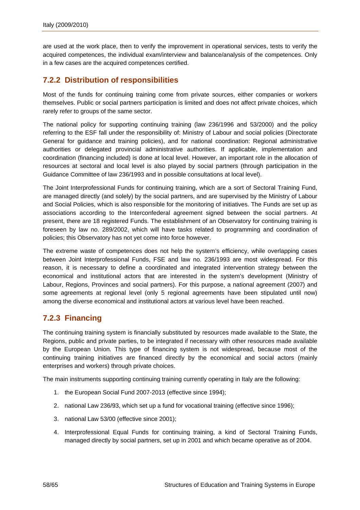<span id="page-59-0"></span>are used at the work place, then to verify the improvement in operational services, tests to verify the acquired competences, the individual exam/interview and balance/analysis of the competences. Only in a few cases are the acquired competences certified.

### **7.2.2 Distribution of responsibilities**

Most of the funds for continuing training come from private sources, either companies or workers themselves. Public or social partners participation is limited and does not affect private choices, which rarely refer to groups of the same sector.

The national policy for supporting continuing training (law 236/1996 and 53/2000) and the policy referring to the ESF fall under the responsibility of: Ministry of Labour and social policies (Directorate General for guidance and training policies), and for national coordination: Regional administrative authorities or delegated provincial administrative authorities. If applicable, implementation and coordination (financing included) is done at local level. However, an important role in the allocation of resources at sectoral and local level is also played by social partners (through participation in the Guidance Committee of law 236/1993 and in possible consultations at local level).

The Joint Interprofessional Funds for continuing training, which are a sort of Sectoral Training Fund, are managed directly (and solely) by the social partners, and are supervised by the Ministry of Labour and Social Policies, which is also responsible for the monitoring of initiatives. The Funds are set up as associations according to the Interconfederal agreement signed between the social partners. At present, there are 18 registered Funds. The establishment of an Observatory for continuing training is foreseen by law no. 289/2002, which will have tasks related to programming and coordination of policies; this Observatory has not yet come into force however.

The extreme waste of competences does not help the system's efficiency, while overlapping cases between Joint Interprofessional Funds, FSE and law no. 236/1993 are most widespread. For this reason, it is necessary to define a coordinated and integrated intervention strategy between the economical and institutional actors that are interested in the system's development (Ministry of Labour, Regions, Provinces and social partners). For this purpose, a national agreement (2007) and some agreements at regional level (only 5 regional agreements have been stipulated until now) among the diverse economical and institutional actors at various level have been reached.

### **7.2.3 Financing**

The continuing training system is financially substituted by resources made available to the State, the Regions, public and private parties, to be integrated if necessary with other resources made available by the European Union. This type of financing system is not widespread, because most of the continuing training initiatives are financed directly by the economical and social actors (mainly enterprises and workers) through private choices.

The main instruments supporting continuing training currently operating in Italy are the following:

- 1. the European Social Fund 2007-2013 (effective since 1994);
- 2. national Law 236/93, which set up a fund for vocational training (effective since 1996);
- 3. national Law 53/00 (effective since 2001);
- 4. Interprofessional Equal Funds for continuing training, a kind of Sectoral Training Funds, managed directly by social partners, set up in 2001 and which became operative as of 2004.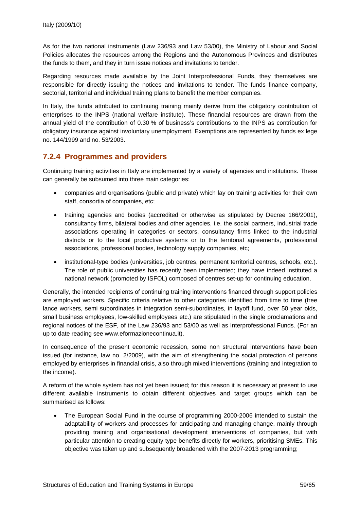<span id="page-60-0"></span>As for the two national instruments (Law 236/93 and Law 53/00), the Ministry of Labour and Social Policies allocates the resources among the Regions and the Autonomous Provinces and distributes the funds to them, and they in turn issue notices and invitations to tender.

Regarding resources made available by the Joint Interprofessional Funds, they themselves are responsible for directly issuing the notices and invitations to tender. The funds finance company, sectorial, territorial and individual training plans to benefit the member companies.

In Italy, the funds attributed to continuing training mainly derive from the obligatory contribution of enterprises to the INPS (national welfare institute). These financial resources are drawn from the annual yield of the contribution of 0.30 % of business's contributions to the INPS as contribution for obligatory insurance against involuntary unemployment. Exemptions are represented by funds ex lege no. 144/1999 and no. 53/2003.

### **7.2.4 Programmes and providers**

Continuing training activities in Italy are implemented by a variety of agencies and institutions. These can generally be subsumed into three main categories:

- companies and organisations (public and private) which lay on training activities for their own staff, consortia of companies, etc;
- training agencies and bodies (accredited or otherwise as stipulated by Decree 166/2001), consultancy firms, bilateral bodies and other agencies, i.e. the social partners, industrial trade associations operating in categories or sectors, consultancy firms linked to the industrial districts or to the local productive systems or to the territorial agreements, professional associations, professional bodies, technology supply companies, etc;
- institutional-type bodies (universities, job centres, permanent territorial centres, schools, etc.). The role of public universities has recently been implemented; they have indeed instituted a national network (promoted by ISFOL) composed of centres set-up for continuing education.

Generally, the intended recipients of continuing training interventions financed through support policies are employed workers. Specific criteria relative to other categories identified from time to time (free lance workers, semi subordinates in integration semi-subordinates, in layoff fund, over 50 year olds, small business employees, low-skilled employees etc.) are stipulated in the single proclamations and regional notices of the ESF, of the Law 236/93 and 53/00 as well as Interprofessional Funds. (For an up to date reading see [www.eformazionecontinua.it](http://www.eformazionecontinua.it/)).

In consequence of the present economic recession, some non structural interventions have been issued (for instance, law no. 2/2009), with the aim of strengthening the social protection of persons employed by enterprises in financial crisis, also through mixed interventions (training and integration to the income).

A reform of the whole system has not yet been issued; for this reason it is necessary at present to use different available instruments to obtain different objectives and target groups which can be summarised as follows:

• The European Social Fund in the course of programming 2000-2006 intended to sustain the adaptability of workers and processes for anticipating and managing change, mainly through providing training and organisational development interventions of companies, but with particular attention to creating equity type benefits directly for workers, prioritising SMEs. This objective was taken up and subsequently broadened with the 2007-2013 programming;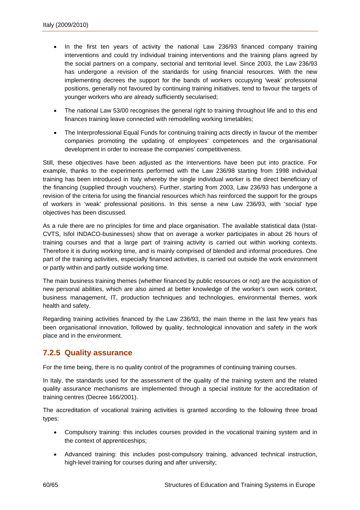- <span id="page-61-0"></span>In the first ten years of activity the national Law 236/93 financed company training interventions and could try individual training interventions and the training plans agreed by the social partners on a company, sectorial and territorial level. Since 2003, the Law 236/93 has undergone a revision of the standards for using financial resources. With the new implementing decrees the support for the bands of workers occupying 'weak' professional positions, generally not favoured by continuing training initiatives, tend to favour the targets of younger workers who are already sufficiently secularised;
- The national Law 53/00 recognises the general right to training throughout life and to this end finances training leave connected with remodelling working timetables;
- The Interprofessional Equal Funds for continuing training acts directly in favour of the member companies promoting the updating of employees' competences and the organisational development in order to increase the companies' competitiveness.

Still, these objectives have been adjusted as the interventions have been put into practice. For example, thanks to the experiments performed with the Law 236/98 starting from 1998 individual training has been introduced in Italy whereby the single individual worker is the direct beneficiary of the financing (supplied through vouchers). Further, starting from 2003, Law 236/93 has undergone a revision of the criteria for using the financial resources which has reinforced the support for the groups of workers in 'weak' professional positions. In this sense a new Law 236/93, with 'social' type objectives has been discussed.

As a rule there are no principles for time and place organisation. The available statistical data (Istat-CVTS, Isfol INDACO-businesses) show that on average a worker participates in about 26 hours of training courses and that a large part of training activity is carried out within working contexts. Therefore it is during working time, and is mainly comprised of blended and informal procedures. One part of the training activities, especially financed activities, is carried out outside the work environment or partly within and partly outside working time.

The main business training themes (whether financed by public resources or not) are the acquisition of new personal abilities, which are also aimed at better knowledge of the worker's own work context, business management, IT, production techniques and technologies, environmental themes, work health and safety.

Regarding training activities financed by the Law 236/93, the main theme in the last few years has been organisational innovation, followed by quality, technological innovation and safety in the work place and in the environment.

### **7.2.5 Quality assurance**

For the time being, there is no quality control of the programmes of continuing training courses.

In Italy, the standards used for the assessment of the quality of the training system and the related quality assurance mechanisms are implemented through a special institute for the accreditation of training centres (Decree 166/2001).

The accreditation of vocational training activities is granted according to the following three broad types:

- Compulsory training: this includes courses provided in the vocational training system and in the context of apprenticeships;
- Advanced training: this includes post-compulsory training, advanced technical instruction, high-level training for courses during and after university;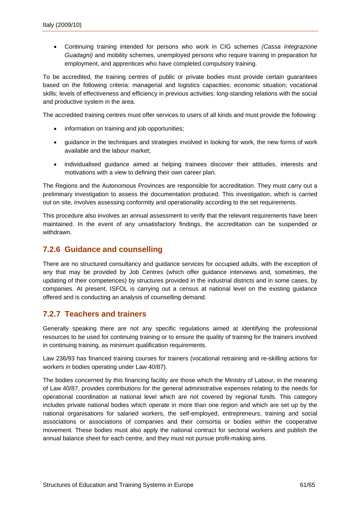<span id="page-62-0"></span>• Continuing training intended for persons who work in CIG schemes *(Cassa Integrazione Guadagni)* and mobility schemes, unemployed persons who require training in preparation for employment, and apprentices who have completed compulsory training.

To be accredited, the training centres of public or private bodies must provide certain guarantees based on the following criteria: managerial and logistics capacities; economic situation; vocational skills; levels of effectiveness and efficiency in previous activities; long-standing relations with the social and productive system in the area.

The accredited training centres must offer services to users of all kinds and must provide the following:

- information on training and job opportunities;
- guidance in the techniques and strategies involved in looking for work, the new forms of work available and the labour market;
- individualised guidance aimed at helping trainees discover their attitudes, interests and motivations with a view to defining their own career plan.

The Regions and the Autonomous Provinces are responsible for accreditation. They must carry out a preliminary investigation to assess the documentation produced. This investigation, which is carried out on site, involves assessing conformity and operationality according to the set requirements.

This procedure also involves an annual assessment to verify that the relevant requirements have been maintained. In the event of any unsatisfactory findings, the accreditation can be suspended or withdrawn.

### **7.2.6 Guidance and counselling**

There are no structured consultancy and guidance services for occupied adults, with the exception of any that may be provided by Job Centres (which offer guidance interviews and, sometimes, the updating of their competences) by structures provided in the industrial districts and in some cases, by companies. At present, ISFOL is carrying out a census at national level on the existing guidance offered and is conducting an analysis of counselling demand.

### **7.2.7 Teachers and trainers**

Generally speaking there are not any specific regulations aimed at identifying the professional resources to be used for continuing training or to ensure the quality of training for the trainers involved in continuing training, as minimum qualification requirements.

Law 236/93 has financed training courses for trainers (vocational retraining and re-skilling actions for workers in bodies operating under Law 40/87).

The bodies concerned by this financing facility are those which the Ministry of Labour, in the meaning of Law 40/87, provides contributions for the general administrative expenses relating to the needs for operational coordination at national level which are not covered by regional funds. This category includes private national bodies which operate in more than one region and which are set up by the national organisations for salaried workers, the self-employed, entrepreneurs, training and social associations or associations of companies and their consortia or bodies within the cooperative movement. These bodies must also apply the national contract for sectoral workers and publish the annual balance sheet for each centre, and they must not pursue profit-making aims.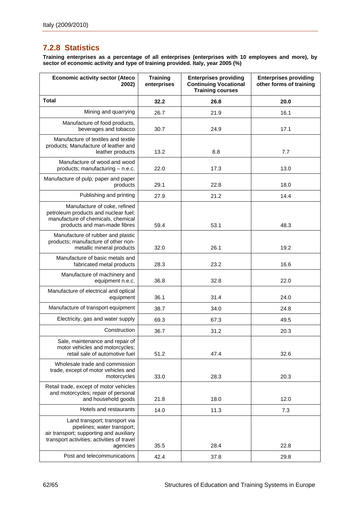# <span id="page-63-0"></span>**7.2.8 Statistics**

**Training enterprises as a percentage of all enterprises (enterprises with 10 employees and more), by sector of economic activity and type of training provided. Italy, year 2005 (%)** 

| <b>Economic activity sector (Ateco</b><br>2002)                                                                                                                   | <b>Training</b><br>enterprises | <b>Enterprises providing</b><br><b>Continuing Vocational</b><br><b>Training courses</b> | <b>Enterprises providing</b><br>other forms of training |
|-------------------------------------------------------------------------------------------------------------------------------------------------------------------|--------------------------------|-----------------------------------------------------------------------------------------|---------------------------------------------------------|
| <b>Total</b>                                                                                                                                                      | 32.2                           | 26.8                                                                                    | 20.0                                                    |
| Mining and quarrying                                                                                                                                              | 26.7                           | 21.9                                                                                    | 16.1                                                    |
| Manufacture of food products,<br>beverages and tobacco                                                                                                            | 30.7                           | 24.9                                                                                    | 17.1                                                    |
| Manufacture of textiles and textile<br>products; Manufacture of leather and<br>leather products                                                                   | 13.2                           | 8.8                                                                                     | 7.7                                                     |
| Manufacture of wood and wood<br>products; manufacturing - n.e.c.                                                                                                  | 22.0                           | 17.3                                                                                    | 13.0                                                    |
| Manufacture of pulp, paper and paper<br>products                                                                                                                  | 29.1                           | 22.8                                                                                    | 18.0                                                    |
| Publishing and printing                                                                                                                                           | 27.9                           | 21.2                                                                                    | 14.4                                                    |
| Manufacture of coke, refined<br>petroleum products and nuclear fuel;<br>manufacture of chemicals, chemical<br>products and man-made fibres                        | 59.4                           | 53.1                                                                                    | 48.3                                                    |
| Manufacture of rubber and plastic<br>products; manufacture of other non-<br>metallic mineral products                                                             | 32.0                           | 26.1                                                                                    | 19.2                                                    |
| Manufacture of basic metals and<br>fabricated metal products                                                                                                      | 28.3                           | 23.2                                                                                    | 16.6                                                    |
| Manufacture of machinery and<br>equipment n.e.c.                                                                                                                  | 36.8                           | 32.8                                                                                    | 22.0                                                    |
| Manufacture of electrical and optical<br>equipment                                                                                                                | 36.1                           | 31.4                                                                                    | 24.0                                                    |
| Manufacture of transport equipment                                                                                                                                | 38.7                           | 34.0                                                                                    | 24.8                                                    |
| Electricity, gas and water supply                                                                                                                                 | 69.3                           | 67.3                                                                                    | 49.5                                                    |
| Construction                                                                                                                                                      | 36.7                           | 31.2                                                                                    | 20.3                                                    |
| Sale, maintenance and repair of<br>motor vehicles and motorcycles;<br>retail sale of automotive fuel                                                              | 51.2                           | 47.4                                                                                    | 32.6                                                    |
| Wholesale trade and commission<br>trade, except of motor vehicles and<br>motorcycles                                                                              | 33.0                           | 28.3                                                                                    | 20.3                                                    |
| Retail trade, except of motor vehicles<br>and motorcycles; repair of personal<br>and household goods                                                              | 21.8                           | 18.0                                                                                    | 12.0                                                    |
| Hotels and restaurants                                                                                                                                            | 14.0                           | 11.3                                                                                    | 7.3                                                     |
| Land transport; transport via<br>pipelines; water transport;<br>air transport; supporting and auxiliary<br>transport activities; activities of travel<br>agencies | 35.5                           | 28.4                                                                                    | 22.8                                                    |
| Post and telecommunications                                                                                                                                       | 42.4                           | 37.8                                                                                    | 29.8                                                    |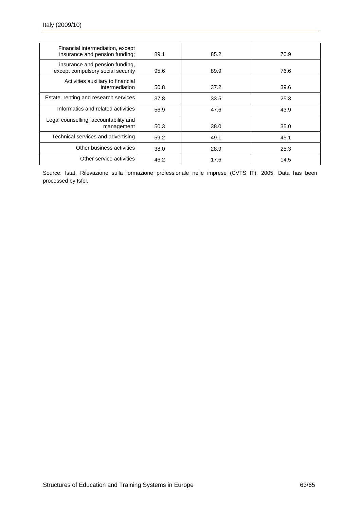| Financial intermediation, except<br>insurance and pension funding;  | 89.1 | 85.2 | 70.9 |
|---------------------------------------------------------------------|------|------|------|
| insurance and pension funding,<br>except compulsory social security | 95.6 | 89.9 | 76.6 |
| Activities auxiliary to financial<br>intermediation                 | 50.8 | 37.2 | 39.6 |
| Estate. renting and research services                               | 37.8 | 33.5 | 25.3 |
| Informatics and related activities                                  | 56.9 | 47.6 | 43.9 |
| Legal counselling. accountability and<br>management                 | 50.3 | 38.0 | 35.0 |
| Technical services and advertising                                  | 59.2 | 49.1 | 45.1 |
| Other business activities                                           | 38.0 | 28.9 | 25.3 |
| Other service activities                                            | 46.2 | 17.6 | 14.5 |

Source: Istat. Rilevazione sulla formazione professionale nelle imprese (CVTS IT). 2005. Data has been processed by Isfol.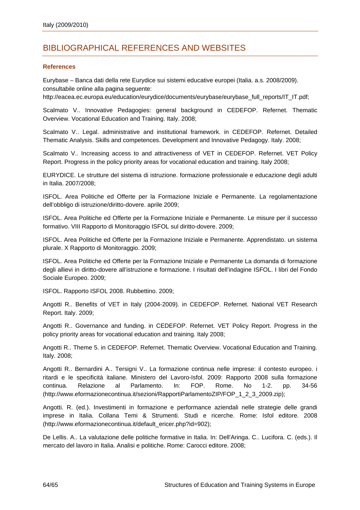# <span id="page-65-0"></span>BIBLIOGRAPHICAL REFERENCES AND WEBSITES

#### **References**

Eurybase – Banca dati della rete Eurydice sui sistemi educative europei (Italia. a.s. 2008/2009). consultabile online alla pagina seguente:

http://eacea.ec.europa.eu/education/eurydice/documents/eurybase/eurybase\_full\_reports/IT\_IT.pdf;

Scalmato V.. Innovative Pedagogies: general background in CEDEFOP. Refernet. Thematic Overview. Vocational Education and Training. Italy. 2008;

Scalmato V.. Legal. administrative and institutional framework. in CEDEFOP. Refernet. Detailed Thematic Analysis. Skills and competences. Development and Innovative Pedagogy. Italy. 2008;

Scalmato V.. Increasing access to and attractiveness of VET in CEDEFOP. Refernet. VET Policy Report. Progress in the policy priority areas for vocational education and training. Italy 2008;

EURYDICE. Le strutture del sistema di istruzione. formazione professionale e educazione degli adulti in Italia. 2007/2008;

ISFOL. Area Politiche ed Offerte per la Formazione Iniziale e Permanente. La regolamentazione dell'obbligo di istruzione/diritto-dovere. aprile 2009;

ISFOL. Area Politiche ed Offerte per la Formazione Iniziale e Permanente. Le misure per il successo formativo. VIII Rapporto di Monitoraggio ISFOL sul diritto-dovere. 2009;

ISFOL. Area Politiche ed Offerte per la Formazione Iniziale e Permanente. Apprendistato. un sistema plurale. X Rapporto di Monitoraggio. 2009;

ISFOL. Area Politiche ed Offerte per la Formazione Iniziale e Permanente La domanda di formazione degli allievi in diritto-dovere all'istruzione e formazione. I risultati dell'indagine ISFOL. I libri del Fondo Sociale Europeo. 2009;

ISFOL. Rapporto ISFOL 2008. Rubbettino. 2009;

Angotti R.. Benefits of VET in Italy (2004-2009). in CEDEFOP. Refernet. National VET Research Report. Italy. 2009;

Angotti R.. Governance and funding. in CEDEFOP. Refernet. VET Policy Report. Progress in the policy priority areas for vocational education and training. Italy 2008;

Angotti R.. Theme 5. in CEDEFOP. Refernet. Thematic Overview. Vocational Education and Training. Italy. 2008;

Angotti R.. Bernardini A.. Tersigni V.. La formazione continua nelle imprese: il contesto europeo. i ritardi e le specificità italiane. Ministero del Lavoro-Isfol. 2009: Rapporto 2008 sulla formazione continua. Relazione al Parlamento. In: FOP. Rome. No 1-2. pp. 34-56 [\(http://www.eformazionecontinua.it/sezioni/RapportiParlamentoZIP/FOP\\_1\\_2\\_3\\_2009.zip\)](http://www.eformazionecontinua.it/sezioni/RapportiParlamentoZIP/FOP_1_2_3_2009.zip);

Angotti. R. (ed.). Investimenti in formazione e performance aziendali nelle strategie delle grandi imprese in Italia. Collana Temi & Strumenti. Studi e ricerche. Rome: Isfol editore. 2008 [\(http://www.eformazionecontinua.it/default\\_ericer.php?id=902](http://www.eformazionecontinua.it/default_ericer.php?id=902));

De Lellis. A.. La valutazione delle politiche formative in Italia. In: Dell'Aringa. C.. Lucifora. C. (eds.). Il mercato del lavoro in Italia. Analisi e politiche. Rome: Carocci editore. 2008;